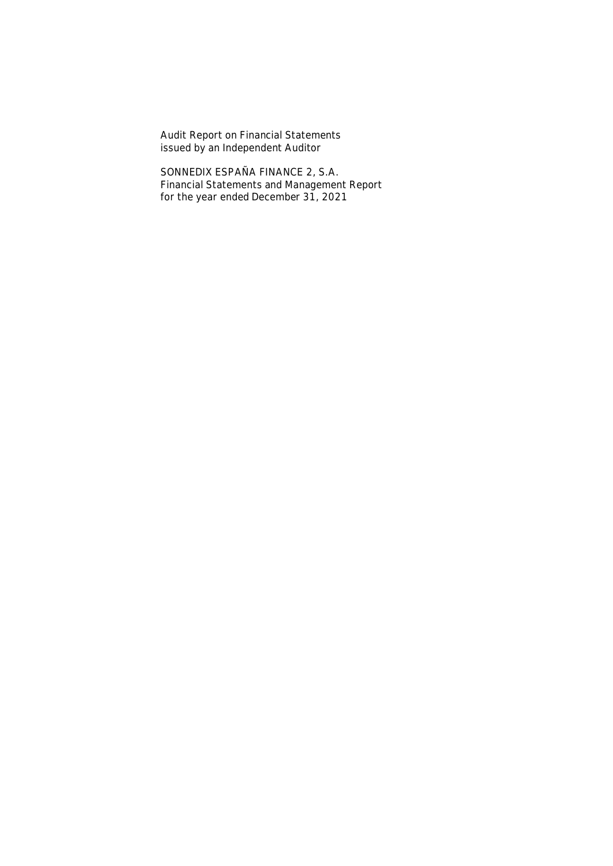**Audit Report on Financial Statements issued by an Independent Auditor**

**SONNEDIX ESPAÑA FINANCE 2, S.A. Financial Statements and Management Report for the year ended December 31, 2021**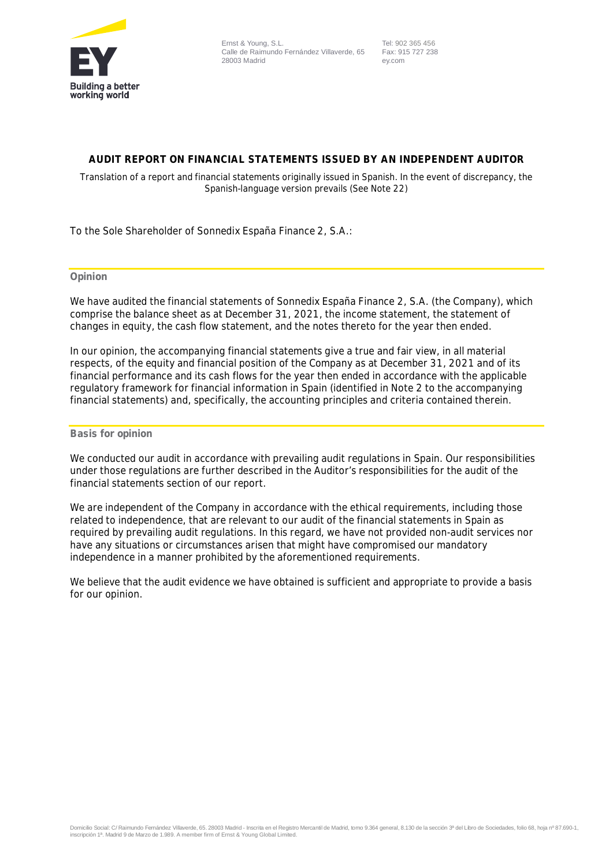

 Tel: 902 365 456 Fax: 915 727 238 ey.com

## **AUDIT REPORT ON FINANCIAL STATEMENTS ISSUED BY AN INDEPENDENT AUDITOR**

Translation of a report and financial statements originally issued in Spanish. In the event of discrepancy, the Spanish-language version prevails (See Note 22)

To the Sole Shareholder of Sonnedix España Finance 2, S.A.:

## **Opinion**

We have audited the financial statements of Sonnedix España Finance 2, S.A. (the Company), which comprise the balance sheet as at December 31, 2021, the income statement, the statement of changes in equity, the cash flow statement, and the notes thereto for the year then ended.

In our opinion, the accompanying financial statements give a true and fair view, in all material respects, of the equity and financial position of the Company as at December 31, 2021 and of its financial performance and its cash flows for the year then ended in accordance with the applicable regulatory framework for financial information in Spain (identified in Note 2 to the accompanying financial statements) and, specifically, the accounting principles and criteria contained therein.

## **Basis for opinion**

We conducted our audit in accordance with prevailing audit regulations in Spain. Our responsibilities under those regulations are further described in the *Auditor's responsibilities for the audit of the financial statements* section of our report.

We are independent of the Company in accordance with the ethical requirements, including those related to independence, that are relevant to our audit of the financial statements in Spain as required by prevailing audit regulations. In this regard, we have not provided non-audit services nor have any situations or circumstances arisen that might have compromised our mandatory independence in a manner prohibited by the aforementioned requirements.

We believe that the audit evidence we have obtained is sufficient and appropriate to provide a basis for our opinion.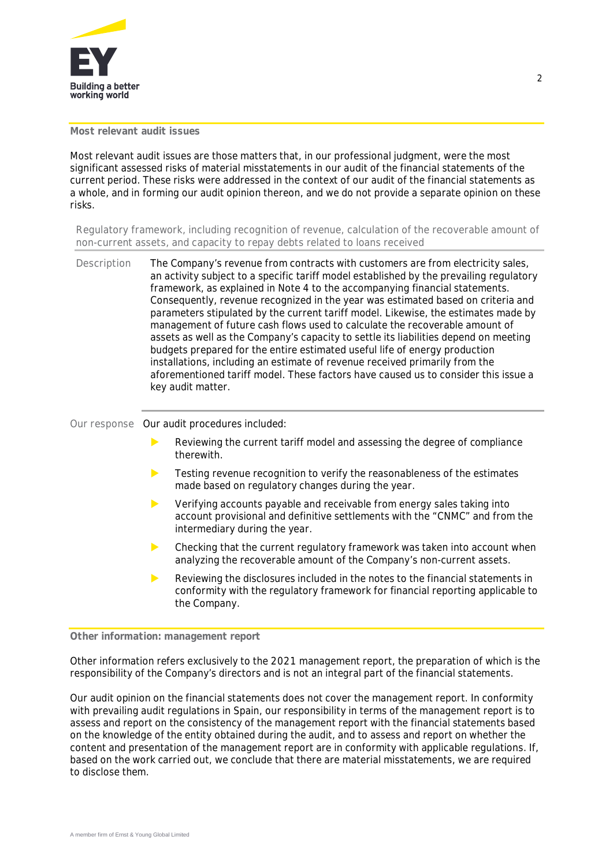

## **Most relevant audit issues**

Most relevant audit issues are those matters that, in our professional judgment, were the most significant assessed risks of material misstatements in our audit of the financial statements of the current period. These risks were addressed in the context of our audit of the financial statements as a whole, and in forming our audit opinion thereon, and we do not provide a separate opinion on these risks.

*Regulatory framework, including recognition of revenue, calculation of the recoverable amount of non-current assets, and capacity to repay debts related to loans received*

**Description** The Company's revenue from contracts with customers are from electricity sales, an activity subject to a specific tariff model established by the prevailing regulatory framework, as explained in Note 4 to the accompanying financial statements. Consequently, revenue recognized in the year was estimated based on criteria and parameters stipulated by the current tariff model. Likewise, the estimates made by management of future cash flows used to calculate the recoverable amount of assets as well as the Company's capacity to settle its liabilities depend on meeting budgets prepared for the entire estimated useful life of energy production installations, including an estimate of revenue received primarily from the aforementioned tariff model. These factors have caused us to consider this issue a key audit matter.

**Our response** Our audit procedures included:

- Reviewing the current tariff model and assessing the degree of compliance therewith.
- Testing revenue recognition to verify the reasonableness of the estimates made based on regulatory changes during the year.
- Verifying accounts payable and receivable from energy sales taking into account provisional and definitive settlements with the "CNMC" and from the intermediary during the year.
- $\triangleright$  Checking that the current regulatory framework was taken into account when analyzing the recoverable amount of the Company's non-current assets.
- Reviewing the disclosures included in the notes to the financial statements in conformity with the regulatory framework for financial reporting applicable to the Company.

## **Other information: management report**

Other information refers exclusively to the 2021 management report, the preparation of which is the responsibility of the Company's directors and is not an integral part of the financial statements.

Our audit opinion on the financial statements does not cover the management report. In conformity with prevailing audit regulations in Spain, our responsibility in terms of the management report is to assess and report on the consistency of the management report with the financial statements based on the knowledge of the entity obtained during the audit, and to assess and report on whether the content and presentation of the management report are in conformity with applicable regulations. If, based on the work carried out, we conclude that there are material misstatements, we are required to disclose them.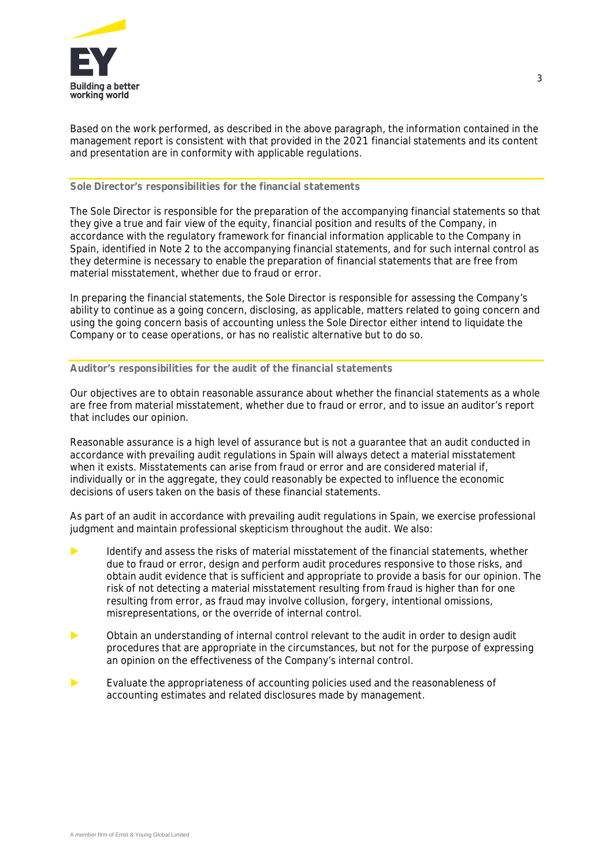

Based on the work performed, as described in the above paragraph, the information contained in the management report is consistent with that provided in the 2021 financial statements and its content and presentation are in conformity with applicable regulations.

## **Sole Director's responsibilities for the financial statements**

The Sole Director is responsible for the preparation of the accompanying financial statements so that they give a true and fair view of the equity, financial position and results of the Company, in accordance with the regulatory framework for financial information applicable to the Company in Spain, identified in Note 2 to the accompanying financial statements, and for such internal control as they determine is necessary to enable the preparation of financial statements that are free from material misstatement, whether due to fraud or error.

In preparing the financial statements, the Sole Director is responsible for assessing the Company's ability to continue as a going concern, disclosing, as applicable, matters related to going concern and using the going concern basis of accounting unless the Sole Director either intend to liquidate the Company or to cease operations, or has no realistic alternative but to do so.

## **Auditor's responsibilities for the audit of the financial statements**

Our objectives are to obtain reasonable assurance about whether the financial statements as a whole are free from material misstatement, whether due to fraud or error, and to issue an auditor's report that includes our opinion.

Reasonable assurance is a high level of assurance but is not a guarantee that an audit conducted in accordance with prevailing audit regulations in Spain will always detect a material misstatement when it exists. Misstatements can arise from fraud or error and are considered material if, individually or in the aggregate, they could reasonably be expected to influence the economic decisions of users taken on the basis of these financial statements.

As part of an audit in accordance with prevailing audit regulations in Spain, we exercise professional judgment and maintain professional skepticism throughout the audit. We also:

- Identify and assess the risks of material misstatement of the financial statements, whether due to fraud or error, design and perform audit procedures responsive to those risks, and obtain audit evidence that is sufficient and appropriate to provide a basis for our opinion. The risk of not detecting a material misstatement resulting from fraud is higher than for one resulting from error, as fraud may involve collusion, forgery, intentional omissions, misrepresentations, or the override of internal control.
- Obtain an understanding of internal control relevant to the audit in order to design audit procedures that are appropriate in the circumstances, but not for the purpose of expressing an opinion on the effectiveness of the Company's internal control.
- Evaluate the appropriateness of accounting policies used and the reasonableness of accounting estimates and related disclosures made by management.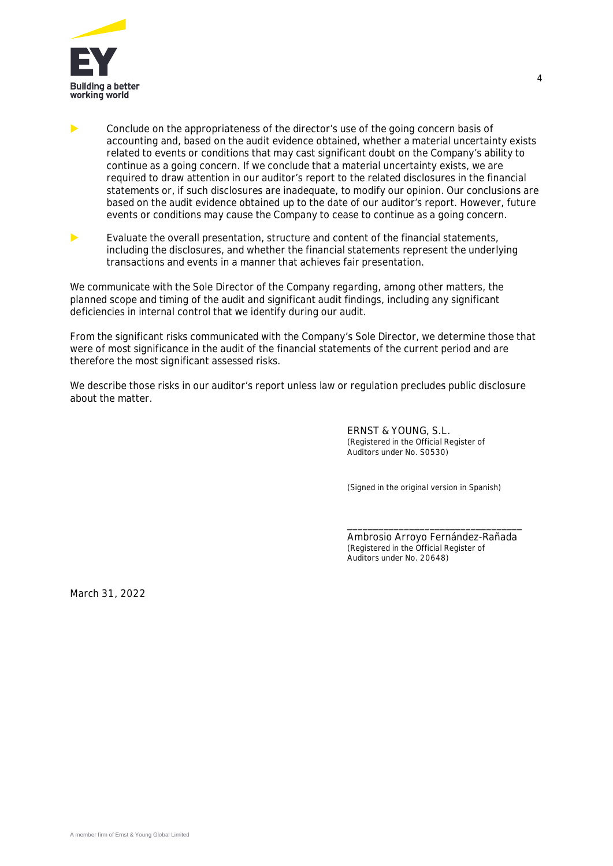

**EXECONCLUDE ON the appropriateness of the director's use of the going concern basis of** accounting and, based on the audit evidence obtained, whether a material uncertainty exists related to events or conditions that may cast significant doubt on the Company's ability to continue as a going concern. If we conclude that a material uncertainty exists, we are required to draw attention in our auditor's report to the related disclosures in the financial statements or, if such disclosures are inadequate, to modify our opinion. Our conclusions are based on the audit evidence obtained up to the date of our auditor's report. However, future events or conditions may cause the Company to cease to continue as a going concern.

 Evaluate the overall presentation, structure and content of the financial statements, including the disclosures, and whether the financial statements represent the underlying transactions and events in a manner that achieves fair presentation.

We communicate with the Sole Director of the Company regarding, among other matters, the planned scope and timing of the audit and significant audit findings, including any significant deficiencies in internal control that we identify during our audit.

From the significant risks communicated with the Company's Sole Director, we determine those that were of most significance in the audit of the financial statements of the current period and are therefore the most significant assessed risks.

We describe those risks in our auditor's report unless law or regulation precludes public disclosure about the matter.

> ERNST & YOUNG, S.L. (Registered in the Official Register of Auditors under No. S0530)

(Signed in the original version in Spanish)

Ambrosio Arroyo Fernández-Rañada (Registered in the Official Register of Auditors under No. 20648)

\_\_\_\_\_\_\_\_\_\_\_\_\_\_\_\_\_\_\_\_\_\_\_\_\_\_\_\_\_\_\_\_\_\_

March 31, 2022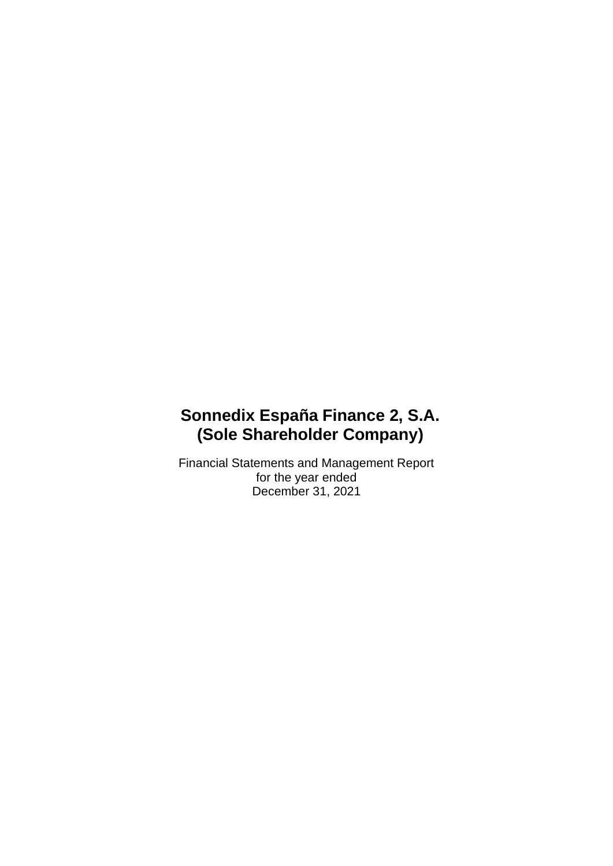Financial Statements and Management Report for the year ended December 31, 2021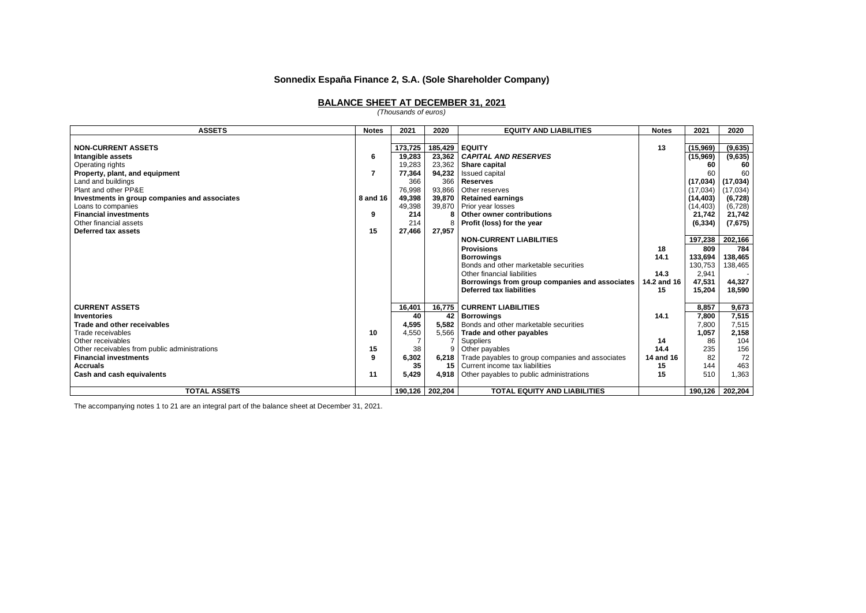#### **BALANCE SHEET AT DECEMBER 31, 2021**

*(Thousands of euros)*

| <b>ASSETS</b>                                 | <b>Notes</b> | 2021    | 2020              | <b>EQUITY AND LIABILITIES</b>                          | <b>Notes</b> | 2021      | 2020      |
|-----------------------------------------------|--------------|---------|-------------------|--------------------------------------------------------|--------------|-----------|-----------|
|                                               |              |         |                   |                                                        |              |           |           |
| <b>NON-CURRENT ASSETS</b>                     |              | 173,725 | 185,429           | <b>LEQUITY</b>                                         | 13           | (15,969)  | (9,635)   |
| Intangible assets                             | 6            | 19,283  | 23,362            | <b>CAPITAL AND RESERVES</b>                            |              | (15,969)  | (9,635)   |
| Operating rights                              |              | 19,283  | 23,362            | Share capital                                          |              | 60        | 60        |
| Property, plant, and equipment                | 7            | 77,364  | 94,232            | Issued capital                                         |              | 60        | 60        |
| Land and buildings                            |              | 366     | 366               | <b>Reserves</b>                                        |              | (17, 034) | (17, 034) |
| Plant and other PP&E                          |              | 76,998  | 93,866            | Other reserves                                         |              | (17,034)  | (17, 034) |
| Investments in group companies and associates | 8 and 16     | 49,398  | 39,870            | <b>Retained earnings</b>                               |              | (14, 403) | (6, 728)  |
| Loans to companies                            |              | 49,398  | 39,870            | Prior year losses                                      |              | (14, 403) | (6, 728)  |
| <b>Financial investments</b>                  | 9            | 214     |                   | Other owner contributions                              |              | 21,742    | 21,742    |
| Other financial assets                        |              | 214     |                   | Profit (loss) for the year                             |              | (6, 334)  | (7,675)   |
| Deferred tax assets                           | 15           | 27,466  | 27,957            |                                                        |              |           |           |
|                                               |              |         |                   | <b>NON-CURRENT LIABILITIES</b>                         |              | 197,238   | 202,166   |
|                                               |              |         |                   | <b>Provisions</b>                                      | 18           | 809       | 784       |
|                                               |              |         |                   | <b>Borrowings</b>                                      | 14.1         | 133,694   | 138,465   |
|                                               |              |         |                   | Bonds and other marketable securities                  |              | 130,753   | 138,465   |
|                                               |              |         |                   | Other financial liabilities                            | 14.3         | 2,941     |           |
|                                               |              |         |                   | Borrowings from group companies and associates         | 14.2 and 16  | 47,531    | 44,327    |
|                                               |              |         |                   | Deferred tax liabilities                               | 15           | 15,204    | 18,590    |
|                                               |              |         |                   |                                                        |              |           |           |
| <b>CURRENT ASSETS</b>                         |              | 16,401  | 16,775            | <b>CURRENT LIABILITIES</b>                             |              | 8.857     | 9,673     |
| <b>Inventories</b>                            |              | 40      | 42                | <b>Borrowings</b>                                      | 14.1         | 7,800     | 7,515     |
| Trade and other receivables                   |              | 4,595   | 5.582             | Bonds and other marketable securities                  |              | 7,800     | 7,515     |
| Trade receivables                             | 10           | 4,550   | 5,566             | Trade and other payables                               |              | 1,057     | 2,158     |
| Other receivables                             |              |         |                   | Suppliers                                              | 14           | 86        | 104       |
| Other receivables from public administrations | 15           | 38      | 9                 | Other payables                                         | 14.4         | 235       | 156       |
| <b>Financial investments</b>                  | 9            | 6,302   |                   | 6,218 Trade payables to group companies and associates | 14 and 16    | 82        | 72        |
| <b>Accruals</b>                               |              | 35      | 15                | Current income tax liabilities                         | 15           | 144       | 463       |
| Cash and cash equivalents                     | 11           | 5,429   | 4.918             | Other payables to public administrations               | 15           | 510       | 1,363     |
| <b>TOTAL ASSETS</b>                           |              |         | 190,126   202,204 | <b>TOTAL EQUITY AND LIABILITIES</b>                    |              | 190,126   | 202,204   |

The accompanying notes 1 to 21 are an integral part of the balance sheet at December 31, 2021.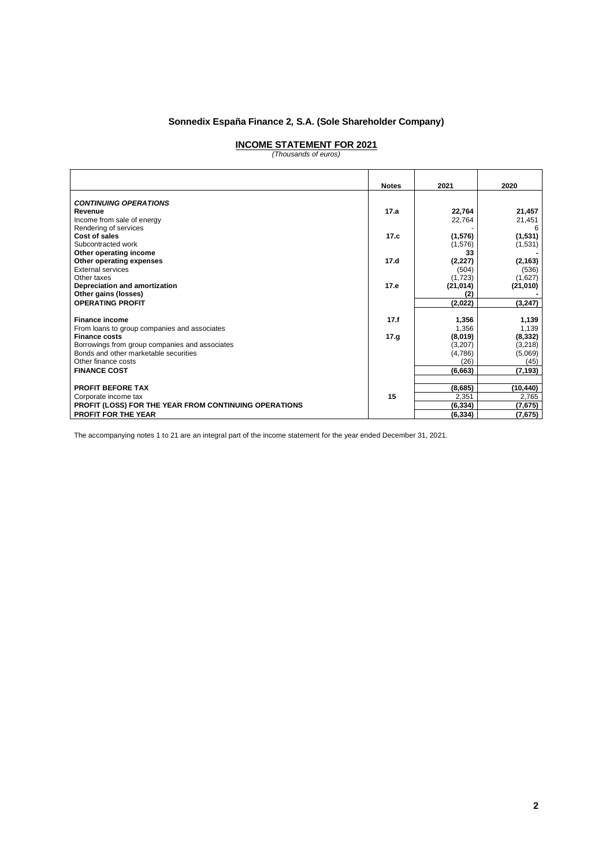# **INCOME STATEMENT FOR 2021** *(Thousands of euros)*

|                                                       | <b>Notes</b> | 2021      | 2020      |
|-------------------------------------------------------|--------------|-----------|-----------|
| <b>CONTINUING OPERATIONS</b>                          |              |           |           |
| Revenue                                               | 17.a         | 22,764    | 21,457    |
| Income from sale of energy                            |              | 22,764    | 21,451    |
| Rendering of services                                 |              |           |           |
| Cost of sales                                         | 17.c         | (1,576)   | (1,531)   |
| Subcontracted work                                    |              | (1,576)   | (1,531)   |
| Other operating income                                |              | 33        |           |
| Other operating expenses                              | 17.d         | (2, 227)  | (2, 163)  |
| <b>External services</b>                              |              | (504)     | (536)     |
| Other taxes                                           |              | (1,723)   | (1,627)   |
| Depreciation and amortization                         | 17.e         | (21, 014) | (21, 010) |
| Other gains (losses)                                  |              |           |           |
| <b>OPERATING PROFIT</b>                               |              | (2,022)   | (3, 247)  |
|                                                       |              |           |           |
| <b>Finance income</b>                                 | 17.f         | 1,356     | 1,139     |
| From loans to group companies and associates          |              | 1,356     | 1,139     |
| <b>Finance costs</b>                                  | 17.9         | (8,019)   | (8, 332)  |
| Borrowings from group companies and associates        |              | (3,207)   | (3,218)   |
| Bonds and other marketable securities                 |              | (4,786)   | (5,069)   |
| Other finance costs                                   |              | (26)      | (45)      |
| <b>FINANCE COST</b>                                   |              | (6, 663)  | (7, 193)  |
|                                                       |              |           |           |
| <b>PROFIT BEFORE TAX</b>                              |              | (8,685)   | (10, 440) |
| Corporate income tax                                  | 15           | 2,351     | 2,765     |
| PROFIT (LOSS) FOR THE YEAR FROM CONTINUING OPERATIONS |              | (6, 334)  | (7,675)   |
| <b>PROFIT FOR THE YEAR</b>                            |              | (6, 334)  | (7,675)   |

The accompanying notes 1 to 21 are an integral part of the income statement for the year ended December 31, 2021.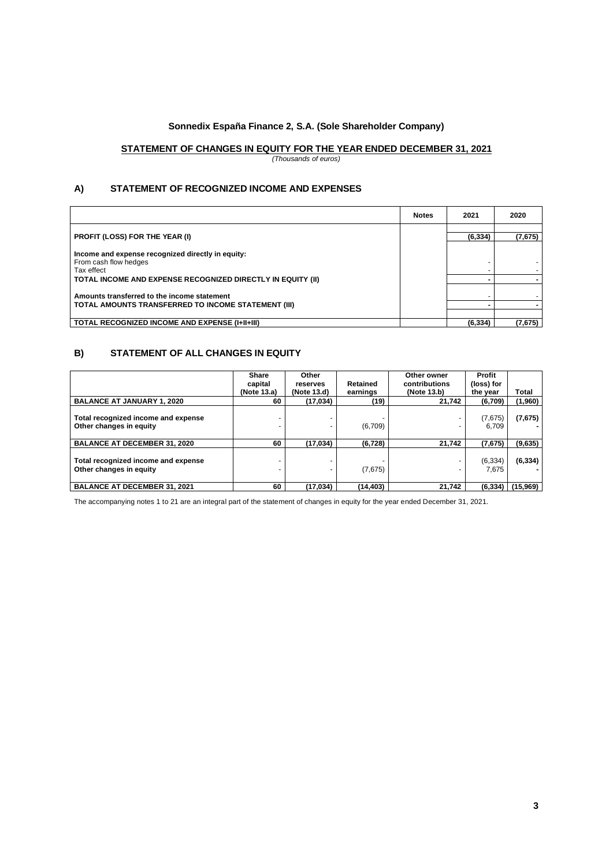# **STATEMENT OF CHANGES IN EQUITY FOR THE YEAR ENDED DECEMBER 31, 2021**

*(Thousands of euros)*

## **A) STATEMENT OF RECOGNIZED INCOME AND EXPENSES**

|                                                                                          | <b>Notes</b> | 2021     | 2020    |
|------------------------------------------------------------------------------------------|--------------|----------|---------|
|                                                                                          |              |          |         |
| <b>PROFIT (LOSS) FOR THE YEAR (I)</b>                                                    |              | (6, 334) | (7,675) |
| Income and expense recognized directly in equity:<br>From cash flow hedges<br>Tax effect |              |          |         |
| TOTAL INCOME AND EXPENSE RECOGNIZED DIRECTLY IN EQUITY (II)                              |              |          |         |
| Amounts transferred to the income statement                                              |              |          |         |
| TOTAL AMOUNTS TRANSFERRED TO INCOME STATEMENT (III)                                      |              |          |         |
|                                                                                          |              |          |         |
| <b>TOTAL RECOGNIZED INCOME AND EXPENSE (I+II+III)</b>                                    |              | (6, 334) | (7,675) |

## **B) STATEMENT OF ALL CHANGES IN EQUITY**

|                                                                | <b>Share</b><br>capital<br>(Note 13.a) | Other<br>reserves<br>(Note 13.d) | Retained<br>earnings | Other owner<br>contributions<br>(Note 13.b) | Profit<br>(loss) for<br>the vear | Total    |
|----------------------------------------------------------------|----------------------------------------|----------------------------------|----------------------|---------------------------------------------|----------------------------------|----------|
| <b>BALANCE AT JANUARY 1, 2020</b>                              | 60                                     | (17,034)                         | (19)                 | 21.742                                      | (6,709)                          | (1,960)  |
| Total recognized income and expense<br>Other changes in equity |                                        |                                  | (6,709)              |                                             | (7,675)<br>6.709                 | (7,675)  |
| <b>BALANCE AT DECEMBER 31, 2020</b>                            | 60                                     | (17, 034)                        | (6, 728)             | 21,742                                      | (7,675)                          | (9,635)  |
| Total recognized income and expense<br>Other changes in equity |                                        |                                  | (7,675)              |                                             | (6, 334)<br>7.675                | (6, 334) |
| <b>BALANCE AT DECEMBER 31, 2021</b>                            | 60                                     | (17, 034)                        | (14, 403)            | 21,742                                      | (6, 334)                         | (15,969) |

The accompanying notes 1 to 21 are an integral part of the statement of changes in equity for the year ended December 31, 2021.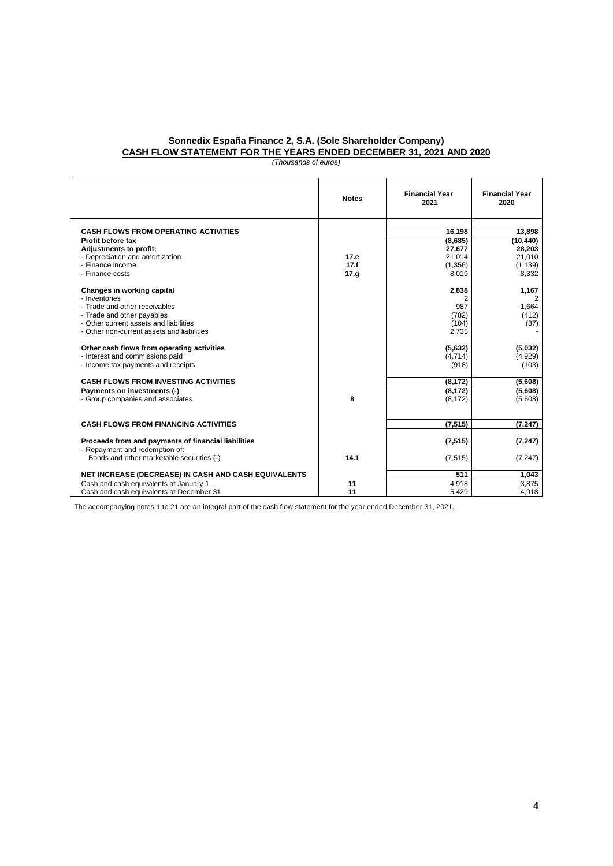## **Sonnedix España Finance 2, S.A. (Sole Shareholder Company) CASH FLOW STATEMENT FOR THE YEARS ENDED DECEMBER 31, 2021 AND 2020**

*(Thousands of euros)*

|                                                      | <b>Notes</b> | <b>Financial Year</b><br>2021 | <b>Financial Year</b><br>2020 |
|------------------------------------------------------|--------------|-------------------------------|-------------------------------|
| <b>CASH FLOWS FROM OPERATING ACTIVITIES</b>          |              | 16.198                        | 13.898                        |
| Profit before tax                                    |              | (8,685)                       | (10, 440)                     |
| <b>Adjustments to profit:</b>                        |              | 27,677                        | 28,203                        |
| - Depreciation and amortization                      | 17.e         | 21,014                        | 21,010                        |
| - Finance income                                     | 17.f         | (1,356)                       | (1, 139)                      |
| - Finance costs                                      | 17.9         | 8,019                         | 8,332                         |
| Changes in working capital                           |              | 2,838                         | 1.167                         |
| - Inventories                                        |              | 2                             | $\overline{2}$                |
| - Trade and other receivables                        |              | 987                           | 1,664                         |
| - Trade and other payables                           |              | (782)                         | (412)                         |
| - Other current assets and liabilities               |              | (104)                         | (87)                          |
| - Other non-current assets and liabilities           |              | 2,735                         |                               |
| Other cash flows from operating activities           |              | (5,632)                       | (5,032)                       |
| - Interest and commissions paid                      |              | (4,714)                       | (4,929)                       |
| - Income tax payments and receipts                   |              | (918)                         | (103)                         |
| <b>CASH FLOWS FROM INVESTING ACTIVITIES</b>          |              | (8, 172)                      | (5,608)                       |
| Payments on investments (-)                          |              | (8, 172)                      | (5,608)                       |
| - Group companies and associates                     | 8            | (8, 172)                      | (5,608)                       |
|                                                      |              |                               |                               |
| <b>CASH FLOWS FROM FINANCING ACTIVITIES</b>          |              | (7, 515)                      | (7, 247)                      |
| Proceeds from and payments of financial liabilities  |              | (7, 515)                      | (7, 247)                      |
| - Repayment and redemption of:                       |              |                               |                               |
| Bonds and other marketable securities (-)            | 14.1         | (7, 515)                      | (7, 247)                      |
| NET INCREASE (DECREASE) IN CASH AND CASH EQUIVALENTS |              | 511                           | 1,043                         |
| Cash and cash equivalents at January 1               | 11           | 4,918                         | 3.875                         |
| Cash and cash equivalents at December 31             | 11           | 5,429                         | 4,918                         |

The accompanying notes 1 to 21 are an integral part of the cash flow statement for the year ended December 31, 2021.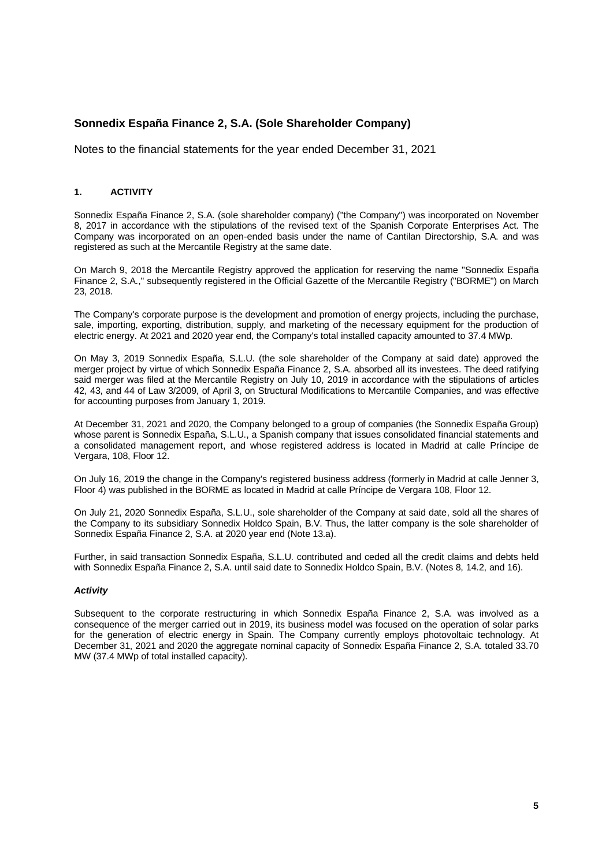Notes to the financial statements for the year ended December 31, 2021

## **1. ACTIVITY**

Sonnedix España Finance 2, S.A. (sole shareholder company) ("the Company") was incorporated on November 8, 2017 in accordance with the stipulations of the revised text of the Spanish Corporate Enterprises Act. The Company was incorporated on an open-ended basis under the name of Cantilan Directorship, S.A. and was registered as such at the Mercantile Registry at the same date.

On March 9, 2018 the Mercantile Registry approved the application for reserving the name "Sonnedix España Finance 2, S.A.," subsequently registered in the Official Gazette of the Mercantile Registry ("BORME") on March 23, 2018.

The Company's corporate purpose is the development and promotion of energy projects, including the purchase, sale, importing, exporting, distribution, supply, and marketing of the necessary equipment for the production of electric energy. At 2021 and 2020 year end, the Company's total installed capacity amounted to 37.4 MWp.

On May 3, 2019 Sonnedix España, S.L.U. (the sole shareholder of the Company at said date) approved the merger project by virtue of which Sonnedix España Finance 2, S.A. absorbed all its investees. The deed ratifying said merger was filed at the Mercantile Registry on July 10, 2019 in accordance with the stipulations of articles 42, 43, and 44 of Law 3/2009, of April 3, on Structural Modifications to Mercantile Companies, and was effective for accounting purposes from January 1, 2019.

At December 31, 2021 and 2020, the Company belonged to a group of companies (the Sonnedix España Group) whose parent is Sonnedix España, S.L.U., a Spanish company that issues consolidated financial statements and a consolidated management report, and whose registered address is located in Madrid at calle Príncipe de Vergara, 108, Floor 12.

On July 16, 2019 the change in the Company's registered business address (formerly in Madrid at calle Jenner 3, Floor 4) was published in the BORME as located in Madrid at calle Príncipe de Vergara 108, Floor 12.

On July 21, 2020 Sonnedix España, S.L.U., sole shareholder of the Company at said date, sold all the shares of the Company to its subsidiary Sonnedix Holdco Spain, B.V. Thus, the latter company is the sole shareholder of Sonnedix España Finance 2, S.A. at 2020 year end (Note 13.a).

Further, in said transaction Sonnedix España, S.L.U. contributed and ceded all the credit claims and debts held with Sonnedix España Finance 2, S.A. until said date to Sonnedix Holdco Spain, B.V. (Notes 8, 14.2, and 16).

#### *Activity*

Subsequent to the corporate restructuring in which Sonnedix España Finance 2, S.A. was involved as a consequence of the merger carried out in 2019, its business model was focused on the operation of solar parks for the generation of electric energy in Spain. The Company currently employs photovoltaic technology. At December 31, 2021 and 2020 the aggregate nominal capacity of Sonnedix España Finance 2, S.A. totaled 33.70 MW (37.4 MWp of total installed capacity).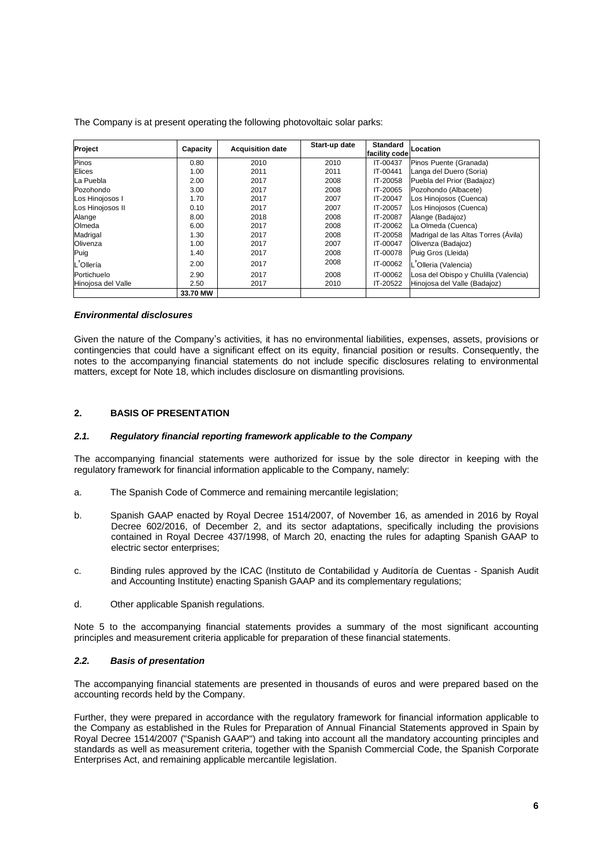| Project            | Capacity | <b>Acquisition date</b> | Start-up date | <b>Standard</b><br>facility code | Location                              |
|--------------------|----------|-------------------------|---------------|----------------------------------|---------------------------------------|
| Pinos              | 0.80     | 2010                    | 2010          | IT-00437                         | Pinos Puente (Granada)                |
| Elices             | 1.00     | 2011                    | 2011          | IT-00441                         | Langa del Duero (Soria)               |
| La Puebla          | 2.00     | 2017                    | 2008          | IT-20058                         | Puebla del Prior (Badajoz)            |
| Pozohondo          | 3.00     | 2017                    | 2008          | IT-20065                         | Pozohondo (Albacete)                  |
| Los Hinojosos I    | 1.70     | 2017                    | 2007          | IT-20047                         | Los Hinojosos (Cuenca)                |
| Los Hinojosos II   | 0.10     | 2017                    | 2007          | IT-20057                         | Los Hinojosos (Cuenca)                |
| Alange             | 8.00     | 2018                    | 2008          | IT-20087                         | Alange (Badajoz)                      |
| Olmeda             | 6.00     | 2017                    | 2008          | IT-20062                         | La Olmeda (Cuenca)                    |
| Madrigal           | 1.30     | 2017                    | 2008          | IT-20058                         | Madrigal de las Altas Torres (Ávila)  |
| Olivenza           | 1.00     | 2017                    | 2007          | IT-00047                         | Olivenza (Badajoz)                    |
| Puig               | 1.40     | 2017                    | 2008          | IT-00078                         | Puig Gros (Lleida)                    |
| L'Ollería          | 2.00     | 2017                    | 2008          | IT-00062                         | L'Olleria (Valencia)                  |
| Portichuelo        | 2.90     | 2017                    | 2008          | IT-00062                         | Losa del Obispo y Chulilla (Valencia) |
| Hinojosa del Valle | 2.50     | 2017                    | 2010          | IT-20522                         | Hinojosa del Valle (Badajoz)          |
|                    | 33.70 MW |                         |               |                                  |                                       |

The Company is at present operating the following photovoltaic solar parks:

#### *Environmental disclosures*

Given the nature of the Company's activities, it has no environmental liabilities, expenses, assets, provisions or contingencies that could have a significant effect on its equity, financial position or results. Consequently, the notes to the accompanying financial statements do not include specific disclosures relating to environmental matters, except for Note 18, which includes disclosure on dismantling provisions.

#### **2. BASIS OF PRESENTATION**

#### *2.1. Regulatory financial reporting framework applicable to the Company*

The accompanying financial statements were authorized for issue by the sole director in keeping with the regulatory framework for financial information applicable to the Company, namely:

- a. The Spanish Code of Commerce and remaining mercantile legislation;
- b. Spanish GAAP enacted by Royal Decree 1514/2007, of November 16, as amended in 2016 by Royal Decree 602/2016, of December 2, and its sector adaptations, specifically including the provisions contained in Royal Decree 437/1998, of March 20, enacting the rules for adapting Spanish GAAP to electric sector enterprises;
- c. Binding rules approved by the ICAC (Instituto de Contabilidad y Auditoría de Cuentas Spanish Audit and Accounting Institute) enacting Spanish GAAP and its complementary regulations;
- d. Other applicable Spanish regulations.

Note 5 to the accompanying financial statements provides a summary of the most significant accounting principles and measurement criteria applicable for preparation of these financial statements.

#### *2.2. Basis of presentation*

The accompanying financial statements are presented in thousands of euros and were prepared based on the accounting records held by the Company.

Further, they were prepared in accordance with the regulatory framework for financial information applicable to the Company as established in the Rules for Preparation of Annual Financial Statements approved in Spain by Royal Decree 1514/2007 ("Spanish GAAP") and taking into account all the mandatory accounting principles and standards as well as measurement criteria, together with the Spanish Commercial Code, the Spanish Corporate Enterprises Act, and remaining applicable mercantile legislation.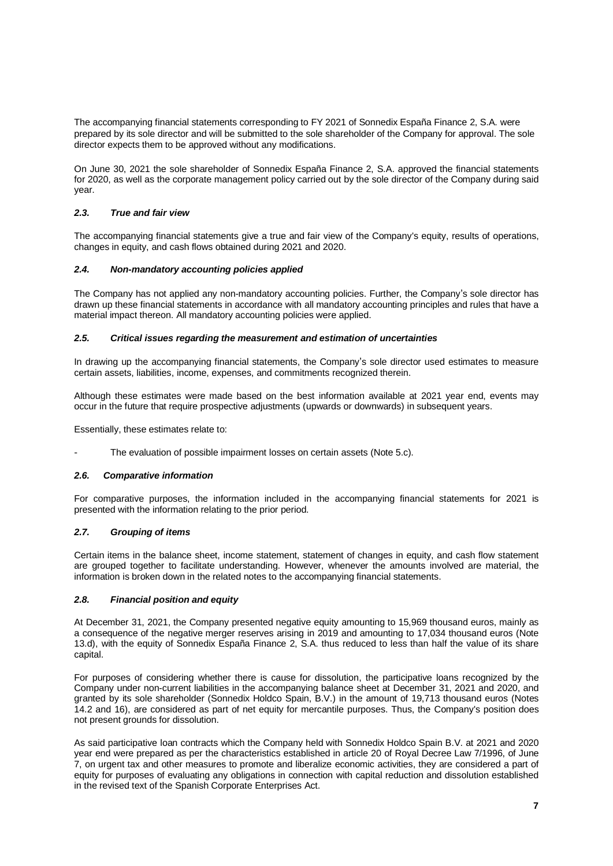The accompanying financial statements corresponding to FY 2021 of Sonnedix España Finance 2, S.A. were prepared by its sole director and will be submitted to the sole shareholder of the Company for approval. The sole director expects them to be approved without any modifications.

On June 30, 2021 the sole shareholder of Sonnedix España Finance 2, S.A. approved the financial statements for 2020, as well as the corporate management policy carried out by the sole director of the Company during said year.

## *2.3. True and fair view*

The accompanying financial statements give a true and fair view of the Company's equity, results of operations, changes in equity, and cash flows obtained during 2021 and 2020.

## *2.4. Non-mandatory accounting policies applied*

The Company has not applied any non-mandatory accounting policies. Further, the Company's sole director has drawn up these financial statements in accordance with all mandatory accounting principles and rules that have a material impact thereon. All mandatory accounting policies were applied.

## *2.5. Critical issues regarding the measurement and estimation of uncertainties*

In drawing up the accompanying financial statements, the Company's sole director used estimates to measure certain assets, liabilities, income, expenses, and commitments recognized therein.

Although these estimates were made based on the best information available at 2021 year end, events may occur in the future that require prospective adjustments (upwards or downwards) in subsequent years.

Essentially, these estimates relate to:

The evaluation of possible impairment losses on certain assets (Note 5.c).

## *2.6. Comparative information*

For comparative purposes, the information included in the accompanying financial statements for 2021 is presented with the information relating to the prior period.

## *2.7. Grouping of items*

Certain items in the balance sheet, income statement, statement of changes in equity, and cash flow statement are grouped together to facilitate understanding. However, whenever the amounts involved are material, the information is broken down in the related notes to the accompanying financial statements.

## *2.8. Financial position and equity*

At December 31, 2021, the Company presented negative equity amounting to 15,969 thousand euros, mainly as a consequence of the negative merger reserves arising in 2019 and amounting to 17,034 thousand euros (Note 13.d), with the equity of Sonnedix España Finance 2, S.A. thus reduced to less than half the value of its share capital.

For purposes of considering whether there is cause for dissolution, the participative loans recognized by the Company under non-current liabilities in the accompanying balance sheet at December 31, 2021 and 2020, and granted by its sole shareholder (Sonnedix Holdco Spain, B.V.) in the amount of 19,713 thousand euros (Notes 14.2 and 16), are considered as part of net equity for mercantile purposes. Thus, the Company's position does not present grounds for dissolution.

As said participative loan contracts which the Company held with Sonnedix Holdco Spain B.V. at 2021 and 2020 year end were prepared as per the characteristics established in article 20 of Royal Decree Law 7/1996, of June 7, on urgent tax and other measures to promote and liberalize economic activities, they are considered a part of equity for purposes of evaluating any obligations in connection with capital reduction and dissolution established in the revised text of the Spanish Corporate Enterprises Act.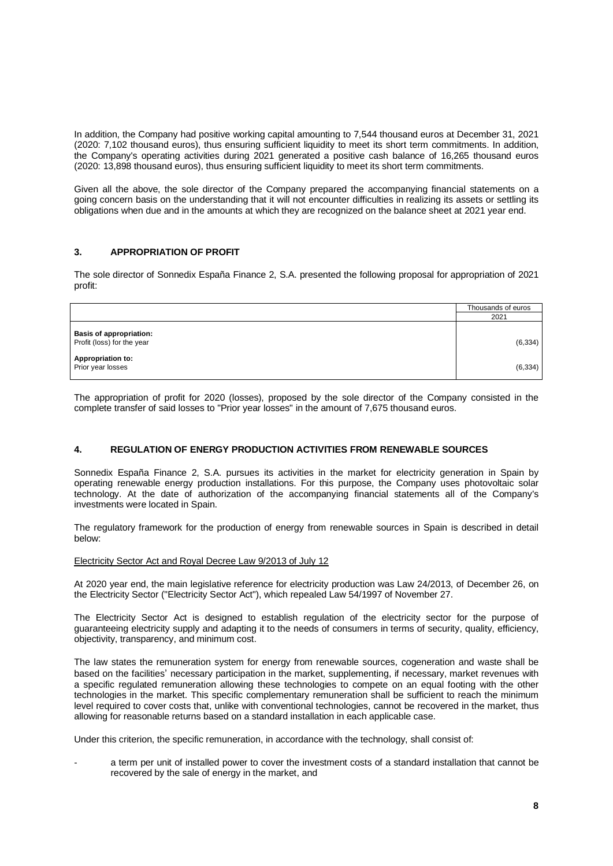In addition, the Company had positive working capital amounting to 7,544 thousand euros at December 31, 2021 (2020: 7,102 thousand euros), thus ensuring sufficient liquidity to meet its short term commitments. In addition, the Company's operating activities during 2021 generated a positive cash balance of 16,265 thousand euros (2020: 13,898 thousand euros), thus ensuring sufficient liquidity to meet its short term commitments.

Given all the above, the sole director of the Company prepared the accompanying financial statements on a going concern basis on the understanding that it will not encounter difficulties in realizing its assets or settling its obligations when due and in the amounts at which they are recognized on the balance sheet at 2021 year end.

## **3. APPROPRIATION OF PROFIT**

The sole director of Sonnedix España Finance 2, S.A. presented the following proposal for appropriation of 2021 profit:

|                                                              | Thousands of euros |
|--------------------------------------------------------------|--------------------|
|                                                              | 2021               |
| <b>Basis of appropriation:</b><br>Profit (loss) for the year | (6, 334)           |
| <b>Appropriation to:</b><br>Prior year losses                | (6, 334)           |

The appropriation of profit for 2020 (losses), proposed by the sole director of the Company consisted in the complete transfer of said losses to "Prior year losses" in the amount of 7,675 thousand euros.

## **4. REGULATION OF ENERGY PRODUCTION ACTIVITIES FROM RENEWABLE SOURCES**

Sonnedix España Finance 2, S.A. pursues its activities in the market for electricity generation in Spain by operating renewable energy production installations. For this purpose, the Company uses photovoltaic solar technology. At the date of authorization of the accompanying financial statements all of the Company's investments were located in Spain.

The regulatory framework for the production of energy from renewable sources in Spain is described in detail below:

## Electricity Sector Act and Royal Decree Law 9/2013 of July 12

At 2020 year end, the main legislative reference for electricity production was Law 24/2013, of December 26, on the Electricity Sector ("Electricity Sector Act"), which repealed Law 54/1997 of November 27.

The Electricity Sector Act is designed to establish regulation of the electricity sector for the purpose of guaranteeing electricity supply and adapting it to the needs of consumers in terms of security, quality, efficiency, objectivity, transparency, and minimum cost.

The law states the remuneration system for energy from renewable sources, cogeneration and waste shall be based on the facilities' necessary participation in the market, supplementing, if necessary, market revenues with a specific regulated remuneration allowing these technologies to compete on an equal footing with the other technologies in the market. This specific complementary remuneration shall be sufficient to reach the minimum level required to cover costs that, unlike with conventional technologies, cannot be recovered in the market, thus allowing for reasonable returns based on a standard installation in each applicable case.

Under this criterion, the specific remuneration, in accordance with the technology, shall consist of:

a term per unit of installed power to cover the investment costs of a standard installation that cannot be recovered by the sale of energy in the market, and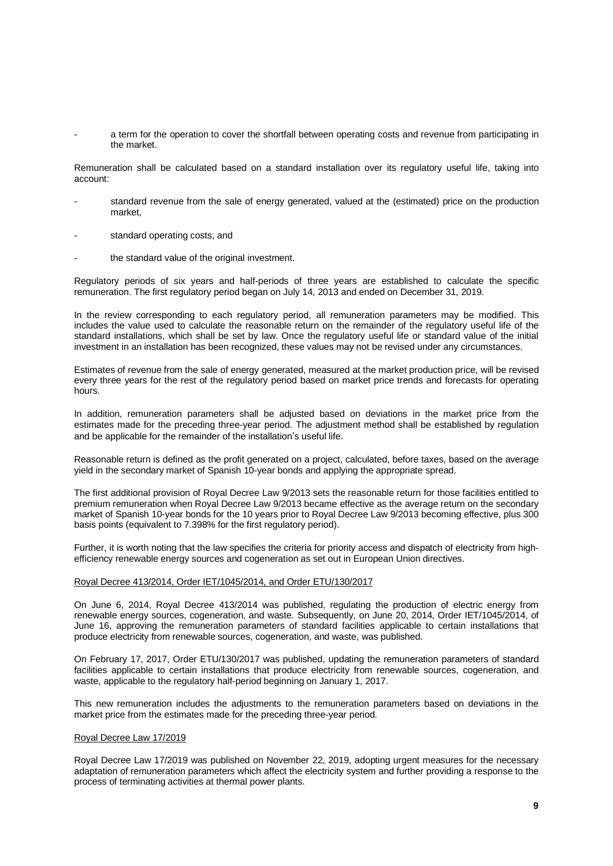a term for the operation to cover the shortfall between operating costs and revenue from participating in the market.

Remuneration shall be calculated based on a standard installation over its regulatory useful life, taking into account:

- standard revenue from the sale of energy generated, valued at the (estimated) price on the production market,
- standard operating costs, and
- the standard value of the original investment.

Regulatory periods of six years and half-periods of three years are established to calculate the specific remuneration. The first regulatory period began on July 14, 2013 and ended on December 31, 2019.

In the review corresponding to each regulatory period, all remuneration parameters may be modified. This includes the value used to calculate the reasonable return on the remainder of the regulatory useful life of the standard installations, which shall be set by law. Once the regulatory useful life or standard value of the initial investment in an installation has been recognized, these values may not be revised under any circumstances.

Estimates of revenue from the sale of energy generated, measured at the market production price, will be revised every three years for the rest of the regulatory period based on market price trends and forecasts for operating hours.

In addition, remuneration parameters shall be adjusted based on deviations in the market price from the estimates made for the preceding three-year period. The adjustment method shall be established by regulation and be applicable for the remainder of the installation's useful life.

Reasonable return is defined as the profit generated on a project, calculated, before taxes, based on the average yield in the secondary market of Spanish 10-year bonds and applying the appropriate spread.

The first additional provision of Royal Decree Law 9/2013 sets the reasonable return for those facilities entitled to premium remuneration when Royal Decree Law 9/2013 became effective as the average return on the secondary market of Spanish 10-year bonds for the 10 years prior to Royal Decree Law 9/2013 becoming effective, plus 300 basis points (equivalent to 7.398% for the first regulatory period).

Further, it is worth noting that the law specifies the criteria for priority access and dispatch of electricity from highefficiency renewable energy sources and cogeneration as set out in European Union directives.

## Royal Decree 413/2014, Order IET/1045/2014, and Order ETU/130/2017

On June 6, 2014, Royal Decree 413/2014 was published, regulating the production of electric energy from renewable energy sources, cogeneration, and waste. Subsequently, on June 20, 2014, Order IET/1045/2014, of June 16, approving the remuneration parameters of standard facilities applicable to certain installations that produce electricity from renewable sources, cogeneration, and waste, was published.

On February 17, 2017, Order ETU/130/2017 was published, updating the remuneration parameters of standard facilities applicable to certain installations that produce electricity from renewable sources, cogeneration, and waste, applicable to the regulatory half-period beginning on January 1, 2017.

This new remuneration includes the adjustments to the remuneration parameters based on deviations in the market price from the estimates made for the preceding three-year period.

#### Royal Decree Law 17/2019

Royal Decree Law 17/2019 was published on November 22, 2019, adopting urgent measures for the necessary adaptation of remuneration parameters which affect the electricity system and further providing a response to the process of terminating activities at thermal power plants.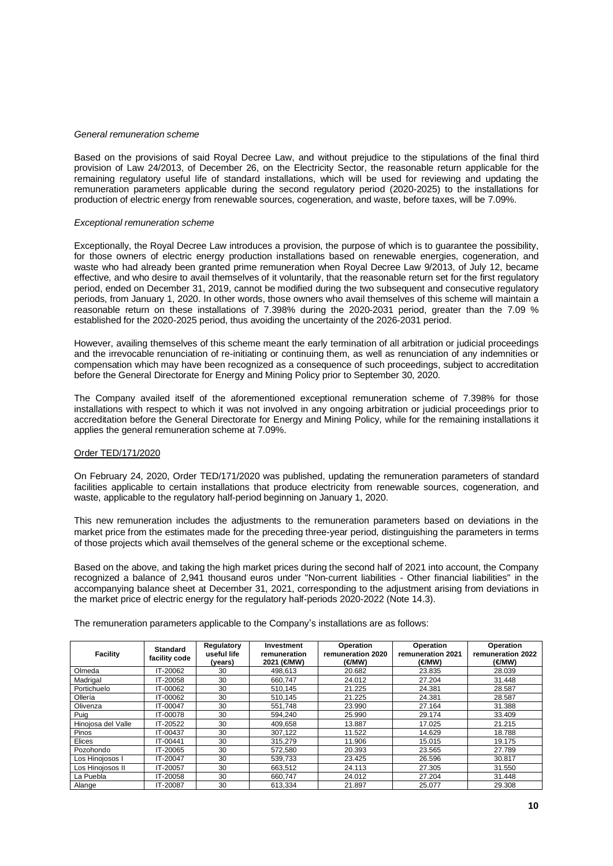#### *General remuneration scheme*

Based on the provisions of said Royal Decree Law, and without prejudice to the stipulations of the final third provision of Law 24/2013, of December 26, on the Electricity Sector, the reasonable return applicable for the remaining regulatory useful life of standard installations, which will be used for reviewing and updating the remuneration parameters applicable during the second regulatory period (2020-2025) to the installations for production of electric energy from renewable sources, cogeneration, and waste, before taxes, will be 7.09%.

#### *Exceptional remuneration scheme*

Exceptionally, the Royal Decree Law introduces a provision, the purpose of which is to guarantee the possibility, for those owners of electric energy production installations based on renewable energies, cogeneration, and waste who had already been granted prime remuneration when Royal Decree Law 9/2013, of July 12, became effective, and who desire to avail themselves of it voluntarily, that the reasonable return set for the first regulatory period, ended on December 31, 2019, cannot be modified during the two subsequent and consecutive regulatory periods, from January 1, 2020. In other words, those owners who avail themselves of this scheme will maintain a reasonable return on these installations of 7.398% during the 2020-2031 period, greater than the 7.09 % established for the 2020-2025 period, thus avoiding the uncertainty of the 2026-2031 period.

However, availing themselves of this scheme meant the early termination of all arbitration or judicial proceedings and the irrevocable renunciation of re-initiating or continuing them, as well as renunciation of any indemnities or compensation which may have been recognized as a consequence of such proceedings, subject to accreditation before the General Directorate for Energy and Mining Policy prior to September 30, 2020.

The Company availed itself of the aforementioned exceptional remuneration scheme of 7.398% for those installations with respect to which it was not involved in any ongoing arbitration or judicial proceedings prior to accreditation before the General Directorate for Energy and Mining Policy, while for the remaining installations it applies the general remuneration scheme at 7.09%.

#### Order TED/171/2020

On February 24, 2020, Order TED/171/2020 was published, updating the remuneration parameters of standard facilities applicable to certain installations that produce electricity from renewable sources, cogeneration, and waste, applicable to the regulatory half-period beginning on January 1, 2020.

This new remuneration includes the adjustments to the remuneration parameters based on deviations in the market price from the estimates made for the preceding three-year period, distinguishing the parameters in terms of those projects which avail themselves of the general scheme or the exceptional scheme.

Based on the above, and taking the high market prices during the second half of 2021 into account, the Company recognized a balance of 2,941 thousand euros under "Non-current liabilities - Other financial liabilities" in the accompanying balance sheet at December 31, 2021, corresponding to the adjustment arising from deviations in the market price of electric energy for the regulatory half-periods 2020-2022 (Note 14.3).

The remuneration parameters applicable to the Company's installations are as follows:

| <b>Facility</b>    | <b>Standard</b><br>facility code | Regulatory<br>useful life<br>(vears) | Investment<br>remuneration<br>2021 (€MW) | Operation<br>remuneration 2020<br>(€MW) | Operation<br>remuneration 2021<br>(€/MW) | Operation<br>remuneration 2022<br>(€MW) |
|--------------------|----------------------------------|--------------------------------------|------------------------------------------|-----------------------------------------|------------------------------------------|-----------------------------------------|
| Olmeda             | IT-20062                         | 30                                   | 498.613                                  | 20.682                                  | 23.835                                   | 28.039                                  |
| Madrigal           | IT-20058                         | 30                                   | 660,747                                  | 24.012                                  | 27.204                                   | 31.448                                  |
| Portichuelo        | IT-00062                         | 30                                   | 510.145                                  | 21.225                                  | 24.381                                   | 28.587                                  |
| Ollería            | IT-00062                         | 30                                   | 510.145                                  | 21.225                                  | 24.381                                   | 28.587                                  |
| Olivenza           | IT-00047                         | 30                                   | 551.748                                  | 23.990                                  | 27.164                                   | 31.388                                  |
| Puig               | IT-00078                         | 30                                   | 594.240                                  | 25.990                                  | 29.174                                   | 33.409                                  |
| Hinojosa del Valle | IT-20522                         | 30                                   | 409,658                                  | 13.887                                  | 17.025                                   | 21.215                                  |
| Pinos              | IT-00437                         | 30                                   | 307,122                                  | 11.522                                  | 14.629                                   | 18.788                                  |
| Elices             | IT-00441                         | 30                                   | 315,279                                  | 11.906                                  | 15.015                                   | 19.175                                  |
| Pozohondo          | IT-20065                         | 30                                   | 572.580                                  | 20.393                                  | 23.565                                   | 27.789                                  |
| Los Hinojosos I    | IT-20047                         | 30                                   | 539,733                                  | 23.425                                  | 26.596                                   | 30.817                                  |
| Los Hinojosos II   | IT-20057                         | 30                                   | 663,512                                  | 24.113                                  | 27.305                                   | 31.550                                  |
| La Puebla          | IT-20058                         | 30                                   | 660,747                                  | 24.012                                  | 27.204                                   | 31.448                                  |
| Alange             | IT-20087                         | 30                                   | 613,334                                  | 21.897                                  | 25.077                                   | 29.308                                  |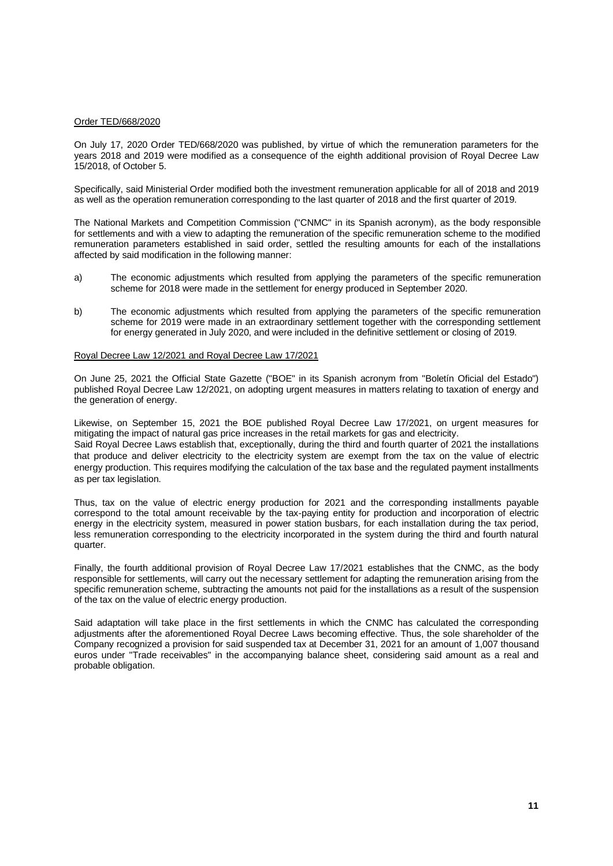#### Order TED/668/2020

On July 17, 2020 Order TED/668/2020 was published, by virtue of which the remuneration parameters for the years 2018 and 2019 were modified as a consequence of the eighth additional provision of Royal Decree Law 15/2018, of October 5.

Specifically, said Ministerial Order modified both the investment remuneration applicable for all of 2018 and 2019 as well as the operation remuneration corresponding to the last quarter of 2018 and the first quarter of 2019.

The National Markets and Competition Commission ("CNMC" in its Spanish acronym), as the body responsible for settlements and with a view to adapting the remuneration of the specific remuneration scheme to the modified remuneration parameters established in said order, settled the resulting amounts for each of the installations affected by said modification in the following manner:

- a) The economic adjustments which resulted from applying the parameters of the specific remuneration scheme for 2018 were made in the settlement for energy produced in September 2020.
- b) The economic adjustments which resulted from applying the parameters of the specific remuneration scheme for 2019 were made in an extraordinary settlement together with the corresponding settlement for energy generated in July 2020, and were included in the definitive settlement or closing of 2019.

#### Royal Decree Law 12/2021 and Royal Decree Law 17/2021

On June 25, 2021 the Official State Gazette ("BOE" in its Spanish acronym from "Boletín Oficial del Estado") published Royal Decree Law 12/2021, on adopting urgent measures in matters relating to taxation of energy and the generation of energy.

Likewise, on September 15, 2021 the BOE published Royal Decree Law 17/2021, on urgent measures for mitigating the impact of natural gas price increases in the retail markets for gas and electricity. Said Royal Decree Laws establish that, exceptionally, during the third and fourth quarter of 2021 the installations that produce and deliver electricity to the electricity system are exempt from the tax on the value of electric energy production. This requires modifying the calculation of the tax base and the regulated payment installments as per tax legislation.

Thus, tax on the value of electric energy production for 2021 and the corresponding installments payable correspond to the total amount receivable by the tax-paying entity for production and incorporation of electric energy in the electricity system, measured in power station busbars, for each installation during the tax period, less remuneration corresponding to the electricity incorporated in the system during the third and fourth natural quarter.

Finally, the fourth additional provision of Royal Decree Law 17/2021 establishes that the CNMC, as the body responsible for settlements, will carry out the necessary settlement for adapting the remuneration arising from the specific remuneration scheme, subtracting the amounts not paid for the installations as a result of the suspension of the tax on the value of electric energy production.

Said adaptation will take place in the first settlements in which the CNMC has calculated the corresponding adjustments after the aforementioned Royal Decree Laws becoming effective. Thus, the sole shareholder of the Company recognized a provision for said suspended tax at December 31, 2021 for an amount of 1,007 thousand euros under "Trade receivables" in the accompanying balance sheet, considering said amount as a real and probable obligation.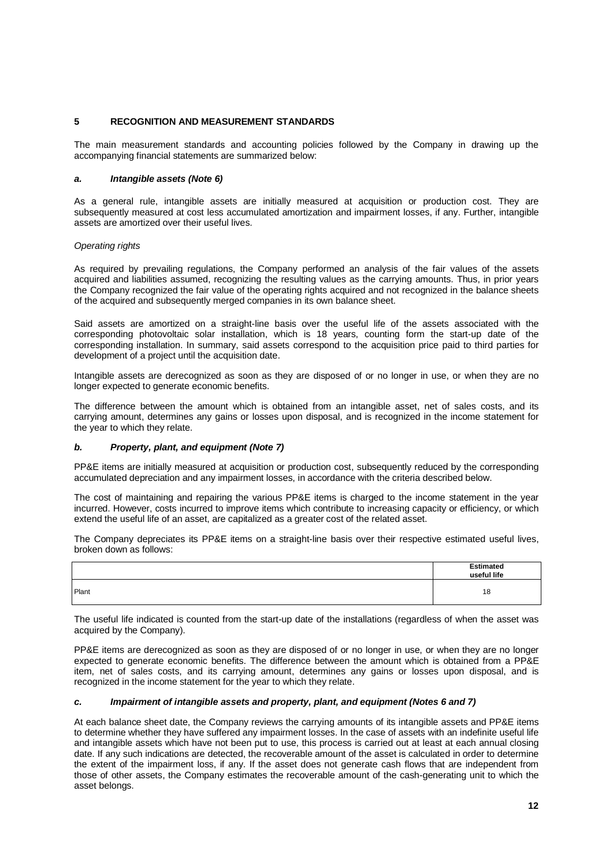## **5 RECOGNITION AND MEASUREMENT STANDARDS**

The main measurement standards and accounting policies followed by the Company in drawing up the accompanying financial statements are summarized below:

#### *a. Intangible assets (Note 6)*

As a general rule, intangible assets are initially measured at acquisition or production cost. They are subsequently measured at cost less accumulated amortization and impairment losses, if any. Further, intangible assets are amortized over their useful lives.

#### *Operating rights*

As required by prevailing regulations, the Company performed an analysis of the fair values of the assets acquired and liabilities assumed, recognizing the resulting values as the carrying amounts. Thus, in prior years the Company recognized the fair value of the operating rights acquired and not recognized in the balance sheets of the acquired and subsequently merged companies in its own balance sheet.

Said assets are amortized on a straight-line basis over the useful life of the assets associated with the corresponding photovoltaic solar installation, which is 18 years, counting form the start-up date of the corresponding installation. In summary, said assets correspond to the acquisition price paid to third parties for development of a project until the acquisition date.

Intangible assets are derecognized as soon as they are disposed of or no longer in use, or when they are no longer expected to generate economic benefits.

The difference between the amount which is obtained from an intangible asset, net of sales costs, and its carrying amount, determines any gains or losses upon disposal, and is recognized in the income statement for the year to which they relate.

#### *b. Property, plant, and equipment (Note 7)*

PP&E items are initially measured at acquisition or production cost, subsequently reduced by the corresponding accumulated depreciation and any impairment losses, in accordance with the criteria described below.

The cost of maintaining and repairing the various PP&E items is charged to the income statement in the year incurred. However, costs incurred to improve items which contribute to increasing capacity or efficiency, or which extend the useful life of an asset, are capitalized as a greater cost of the related asset.

The Company depreciates its PP&E items on a straight-line basis over their respective estimated useful lives, broken down as follows:

|       | <b>Estimated</b><br>useful life |
|-------|---------------------------------|
| Plant | 18                              |

The useful life indicated is counted from the start-up date of the installations (regardless of when the asset was acquired by the Company).

PP&E items are derecognized as soon as they are disposed of or no longer in use, or when they are no longer expected to generate economic benefits. The difference between the amount which is obtained from a PP&E item, net of sales costs, and its carrying amount, determines any gains or losses upon disposal, and is recognized in the income statement for the year to which they relate.

#### *c. Impairment of intangible assets and property, plant, and equipment (Notes 6 and 7)*

At each balance sheet date, the Company reviews the carrying amounts of its intangible assets and PP&E items to determine whether they have suffered any impairment losses. In the case of assets with an indefinite useful life and intangible assets which have not been put to use, this process is carried out at least at each annual closing date. If any such indications are detected, the recoverable amount of the asset is calculated in order to determine the extent of the impairment loss, if any. If the asset does not generate cash flows that are independent from those of other assets, the Company estimates the recoverable amount of the cash-generating unit to which the asset belongs.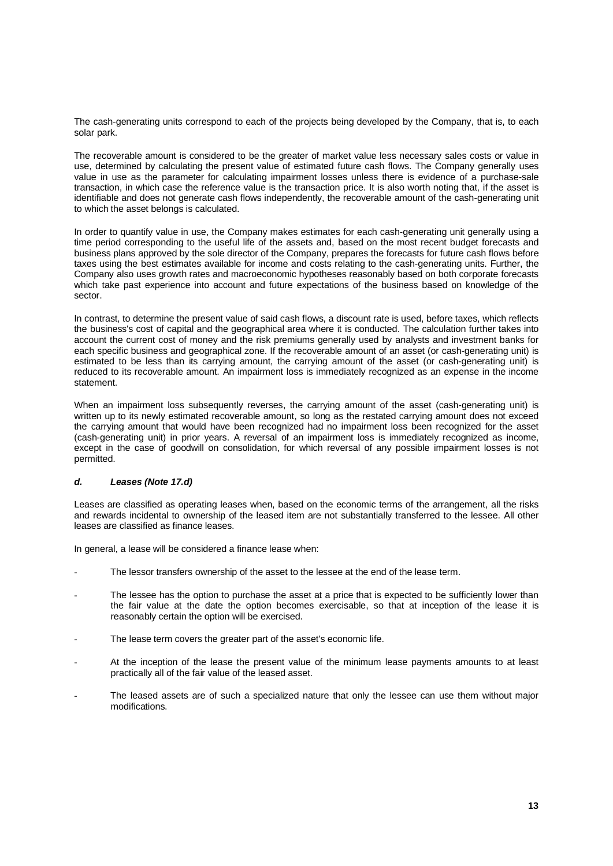The cash-generating units correspond to each of the projects being developed by the Company, that is, to each solar park.

The recoverable amount is considered to be the greater of market value less necessary sales costs or value in use, determined by calculating the present value of estimated future cash flows. The Company generally uses value in use as the parameter for calculating impairment losses unless there is evidence of a purchase-sale transaction, in which case the reference value is the transaction price. It is also worth noting that, if the asset is identifiable and does not generate cash flows independently, the recoverable amount of the cash-generating unit to which the asset belongs is calculated.

In order to quantify value in use, the Company makes estimates for each cash-generating unit generally using a time period corresponding to the useful life of the assets and, based on the most recent budget forecasts and business plans approved by the sole director of the Company, prepares the forecasts for future cash flows before taxes using the best estimates available for income and costs relating to the cash-generating units. Further, the Company also uses growth rates and macroeconomic hypotheses reasonably based on both corporate forecasts which take past experience into account and future expectations of the business based on knowledge of the sector.

In contrast, to determine the present value of said cash flows, a discount rate is used, before taxes, which reflects the business's cost of capital and the geographical area where it is conducted. The calculation further takes into account the current cost of money and the risk premiums generally used by analysts and investment banks for each specific business and geographical zone. If the recoverable amount of an asset (or cash-generating unit) is estimated to be less than its carrying amount, the carrying amount of the asset (or cash-generating unit) is reduced to its recoverable amount. An impairment loss is immediately recognized as an expense in the income statement.

When an impairment loss subsequently reverses, the carrying amount of the asset (cash-generating unit) is written up to its newly estimated recoverable amount, so long as the restated carrying amount does not exceed the carrying amount that would have been recognized had no impairment loss been recognized for the asset (cash-generating unit) in prior years. A reversal of an impairment loss is immediately recognized as income, except in the case of goodwill on consolidation, for which reversal of any possible impairment losses is not permitted.

## *d. Leases (Note 17.d)*

Leases are classified as operating leases when, based on the economic terms of the arrangement, all the risks and rewards incidental to ownership of the leased item are not substantially transferred to the lessee. All other leases are classified as finance leases.

In general, a lease will be considered a finance lease when:

- The lessor transfers ownership of the asset to the lessee at the end of the lease term.
- The lessee has the option to purchase the asset at a price that is expected to be sufficiently lower than the fair value at the date the option becomes exercisable, so that at inception of the lease it is reasonably certain the option will be exercised.
- The lease term covers the greater part of the asset's economic life.
- At the inception of the lease the present value of the minimum lease payments amounts to at least practically all of the fair value of the leased asset.
- The leased assets are of such a specialized nature that only the lessee can use them without major modifications.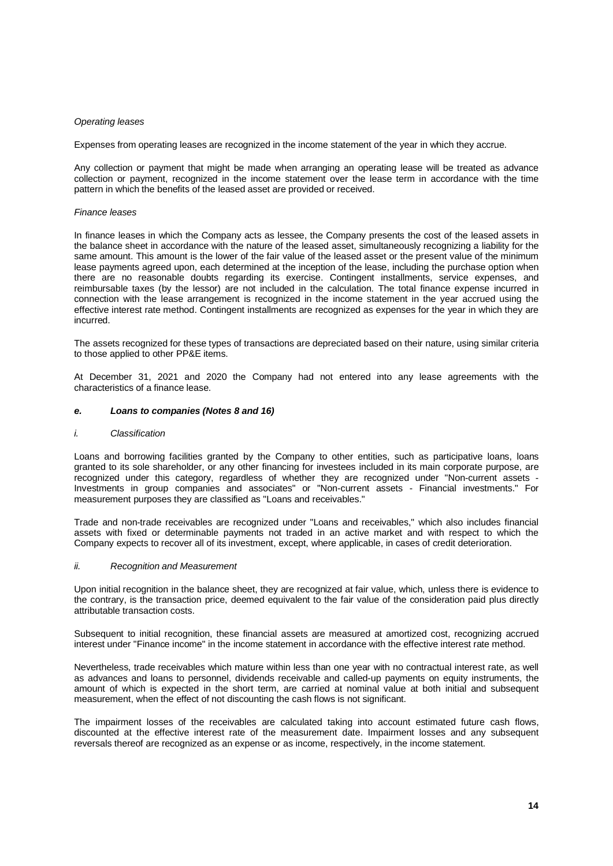#### *Operating leases*

Expenses from operating leases are recognized in the income statement of the year in which they accrue.

Any collection or payment that might be made when arranging an operating lease will be treated as advance collection or payment, recognized in the income statement over the lease term in accordance with the time pattern in which the benefits of the leased asset are provided or received.

#### *Finance leases*

In finance leases in which the Company acts as lessee, the Company presents the cost of the leased assets in the balance sheet in accordance with the nature of the leased asset, simultaneously recognizing a liability for the same amount. This amount is the lower of the fair value of the leased asset or the present value of the minimum lease payments agreed upon, each determined at the inception of the lease, including the purchase option when there are no reasonable doubts regarding its exercise. Contingent installments, service expenses, and reimbursable taxes (by the lessor) are not included in the calculation. The total finance expense incurred in connection with the lease arrangement is recognized in the income statement in the year accrued using the effective interest rate method. Contingent installments are recognized as expenses for the year in which they are incurred.

The assets recognized for these types of transactions are depreciated based on their nature, using similar criteria to those applied to other PP&E items.

At December 31, 2021 and 2020 the Company had not entered into any lease agreements with the characteristics of a finance lease.

#### *e. Loans to companies (Notes 8 and 16)*

#### *i. Classification*

Loans and borrowing facilities granted by the Company to other entities, such as participative loans, loans granted to its sole shareholder, or any other financing for investees included in its main corporate purpose, are recognized under this category, regardless of whether they are recognized under "Non-current assets - Investments in group companies and associates" or "Non-current assets - Financial investments." For measurement purposes they are classified as "Loans and receivables."

Trade and non-trade receivables are recognized under "Loans and receivables," which also includes financial assets with fixed or determinable payments not traded in an active market and with respect to which the Company expects to recover all of its investment, except, where applicable, in cases of credit deterioration.

#### *ii. Recognition and Measurement*

Upon initial recognition in the balance sheet, they are recognized at fair value, which, unless there is evidence to the contrary, is the transaction price, deemed equivalent to the fair value of the consideration paid plus directly attributable transaction costs.

Subsequent to initial recognition, these financial assets are measured at amortized cost, recognizing accrued interest under "Finance income" in the income statement in accordance with the effective interest rate method.

Nevertheless, trade receivables which mature within less than one year with no contractual interest rate, as well as advances and loans to personnel, dividends receivable and called-up payments on equity instruments, the amount of which is expected in the short term, are carried at nominal value at both initial and subsequent measurement, when the effect of not discounting the cash flows is not significant.

The impairment losses of the receivables are calculated taking into account estimated future cash flows, discounted at the effective interest rate of the measurement date. Impairment losses and any subsequent reversals thereof are recognized as an expense or as income, respectively, in the income statement.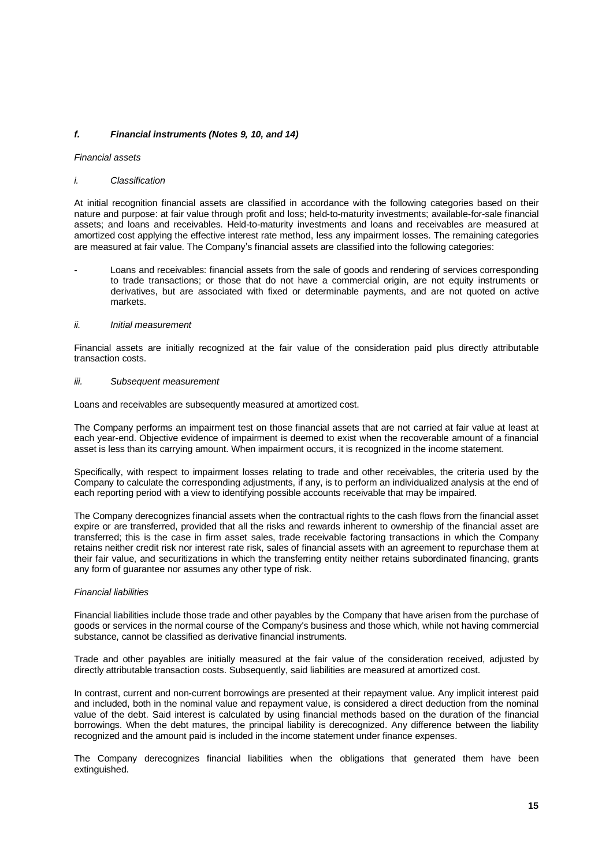## *f. Financial instruments (Notes 9, 10, and 14)*

#### *Financial assets*

#### *i. Classification*

At initial recognition financial assets are classified in accordance with the following categories based on their nature and purpose: at fair value through profit and loss; held-to-maturity investments; available-for-sale financial assets; and loans and receivables. Held-to-maturity investments and loans and receivables are measured at amortized cost applying the effective interest rate method, less any impairment losses. The remaining categories are measured at fair value. The Company's financial assets are classified into the following categories:

Loans and receivables: financial assets from the sale of goods and rendering of services corresponding to trade transactions; or those that do not have a commercial origin, are not equity instruments or derivatives, but are associated with fixed or determinable payments, and are not quoted on active markets.

#### *ii. Initial measurement*

Financial assets are initially recognized at the fair value of the consideration paid plus directly attributable transaction costs.

#### *iii. Subsequent measurement*

Loans and receivables are subsequently measured at amortized cost.

The Company performs an impairment test on those financial assets that are not carried at fair value at least at each year-end. Objective evidence of impairment is deemed to exist when the recoverable amount of a financial asset is less than its carrying amount. When impairment occurs, it is recognized in the income statement.

Specifically, with respect to impairment losses relating to trade and other receivables, the criteria used by the Company to calculate the corresponding adjustments, if any, is to perform an individualized analysis at the end of each reporting period with a view to identifying possible accounts receivable that may be impaired.

The Company derecognizes financial assets when the contractual rights to the cash flows from the financial asset expire or are transferred, provided that all the risks and rewards inherent to ownership of the financial asset are transferred; this is the case in firm asset sales, trade receivable factoring transactions in which the Company retains neither credit risk nor interest rate risk, sales of financial assets with an agreement to repurchase them at their fair value, and securitizations in which the transferring entity neither retains subordinated financing, grants any form of guarantee nor assumes any other type of risk.

#### *Financial liabilities*

Financial liabilities include those trade and other payables by the Company that have arisen from the purchase of goods or services in the normal course of the Company's business and those which, while not having commercial substance, cannot be classified as derivative financial instruments.

Trade and other payables are initially measured at the fair value of the consideration received, adjusted by directly attributable transaction costs. Subsequently, said liabilities are measured at amortized cost.

In contrast, current and non-current borrowings are presented at their repayment value. Any implicit interest paid and included, both in the nominal value and repayment value, is considered a direct deduction from the nominal value of the debt. Said interest is calculated by using financial methods based on the duration of the financial borrowings. When the debt matures, the principal liability is derecognized. Any difference between the liability recognized and the amount paid is included in the income statement under finance expenses.

The Company derecognizes financial liabilities when the obligations that generated them have been extinguished.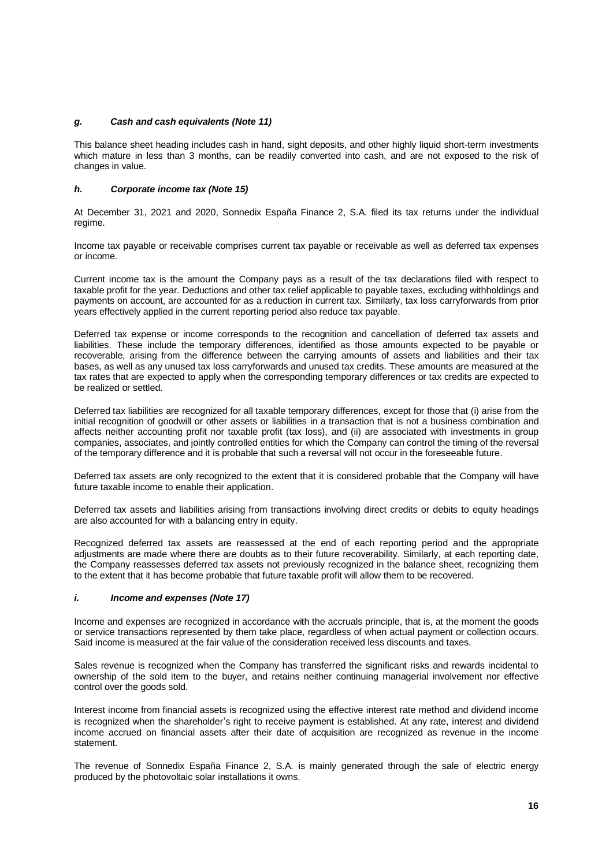## *g. Cash and cash equivalents (Note 11)*

This balance sheet heading includes cash in hand, sight deposits, and other highly liquid short-term investments which mature in less than 3 months, can be readily converted into cash, and are not exposed to the risk of changes in value.

#### *h. Corporate income tax (Note 15)*

At December 31, 2021 and 2020, Sonnedix España Finance 2, S.A. filed its tax returns under the individual regime.

Income tax payable or receivable comprises current tax payable or receivable as well as deferred tax expenses or income.

Current income tax is the amount the Company pays as a result of the tax declarations filed with respect to taxable profit for the year. Deductions and other tax relief applicable to payable taxes, excluding withholdings and payments on account, are accounted for as a reduction in current tax. Similarly, tax loss carryforwards from prior years effectively applied in the current reporting period also reduce tax payable.

Deferred tax expense or income corresponds to the recognition and cancellation of deferred tax assets and liabilities. These include the temporary differences, identified as those amounts expected to be payable or recoverable, arising from the difference between the carrying amounts of assets and liabilities and their tax bases, as well as any unused tax loss carryforwards and unused tax credits. These amounts are measured at the tax rates that are expected to apply when the corresponding temporary differences or tax credits are expected to be realized or settled.

Deferred tax liabilities are recognized for all taxable temporary differences, except for those that (i) arise from the initial recognition of goodwill or other assets or liabilities in a transaction that is not a business combination and affects neither accounting profit nor taxable profit (tax loss), and (ii) are associated with investments in group companies, associates, and jointly controlled entities for which the Company can control the timing of the reversal of the temporary difference and it is probable that such a reversal will not occur in the foreseeable future.

Deferred tax assets are only recognized to the extent that it is considered probable that the Company will have future taxable income to enable their application.

Deferred tax assets and liabilities arising from transactions involving direct credits or debits to equity headings are also accounted for with a balancing entry in equity.

Recognized deferred tax assets are reassessed at the end of each reporting period and the appropriate adjustments are made where there are doubts as to their future recoverability. Similarly, at each reporting date, the Company reassesses deferred tax assets not previously recognized in the balance sheet, recognizing them to the extent that it has become probable that future taxable profit will allow them to be recovered.

#### *i. Income and expenses (Note 17)*

Income and expenses are recognized in accordance with the accruals principle, that is, at the moment the goods or service transactions represented by them take place, regardless of when actual payment or collection occurs. Said income is measured at the fair value of the consideration received less discounts and taxes.

Sales revenue is recognized when the Company has transferred the significant risks and rewards incidental to ownership of the sold item to the buyer, and retains neither continuing managerial involvement nor effective control over the goods sold.

Interest income from financial assets is recognized using the effective interest rate method and dividend income is recognized when the shareholder's right to receive payment is established. At any rate, interest and dividend income accrued on financial assets after their date of acquisition are recognized as revenue in the income statement.

The revenue of Sonnedix España Finance 2, S.A. is mainly generated through the sale of electric energy produced by the photovoltaic solar installations it owns.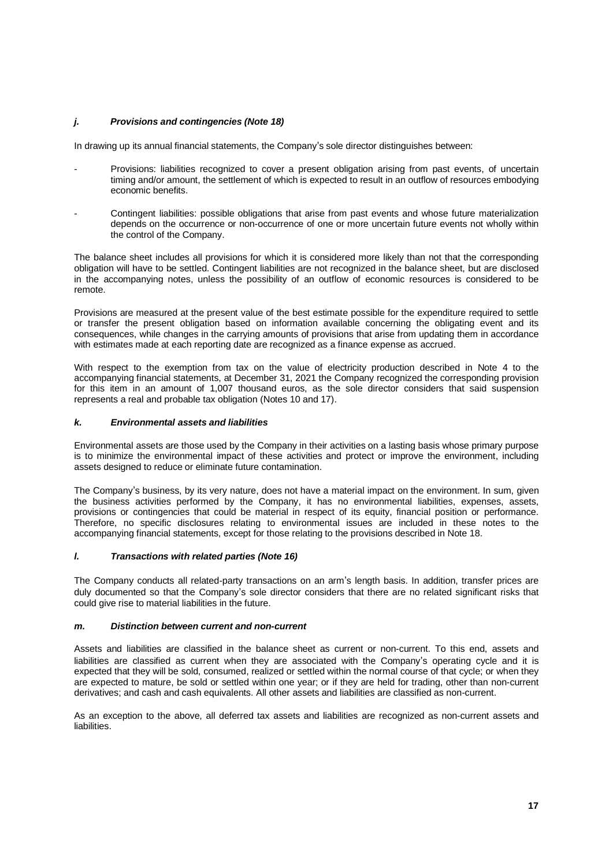## *j. Provisions and contingencies (Note 18)*

In drawing up its annual financial statements, the Company's sole director distinguishes between:

- Provisions: liabilities recognized to cover a present obligation arising from past events, of uncertain timing and/or amount, the settlement of which is expected to result in an outflow of resources embodying economic benefits.
- Contingent liabilities: possible obligations that arise from past events and whose future materialization depends on the occurrence or non-occurrence of one or more uncertain future events not wholly within the control of the Company.

The balance sheet includes all provisions for which it is considered more likely than not that the corresponding obligation will have to be settled. Contingent liabilities are not recognized in the balance sheet, but are disclosed in the accompanying notes, unless the possibility of an outflow of economic resources is considered to be remote.

Provisions are measured at the present value of the best estimate possible for the expenditure required to settle or transfer the present obligation based on information available concerning the obligating event and its consequences, while changes in the carrying amounts of provisions that arise from updating them in accordance with estimates made at each reporting date are recognized as a finance expense as accrued.

With respect to the exemption from tax on the value of electricity production described in Note 4 to the accompanying financial statements, at December 31, 2021 the Company recognized the corresponding provision for this item in an amount of 1,007 thousand euros, as the sole director considers that said suspension represents a real and probable tax obligation (Notes 10 and 17).

## *k. Environmental assets and liabilities*

Environmental assets are those used by the Company in their activities on a lasting basis whose primary purpose is to minimize the environmental impact of these activities and protect or improve the environment, including assets designed to reduce or eliminate future contamination.

The Company's business, by its very nature, does not have a material impact on the environment. In sum, given the business activities performed by the Company, it has no environmental liabilities, expenses, assets, provisions or contingencies that could be material in respect of its equity, financial position or performance. Therefore, no specific disclosures relating to environmental issues are included in these notes to the accompanying financial statements, except for those relating to the provisions described in Note 18.

## *l. Transactions with related parties (Note 16)*

The Company conducts all related-party transactions on an arm's length basis. In addition, transfer prices are duly documented so that the Company's sole director considers that there are no related significant risks that could give rise to material liabilities in the future.

#### *m. Distinction between current and non-current*

Assets and liabilities are classified in the balance sheet as current or non-current. To this end, assets and liabilities are classified as current when they are associated with the Company's operating cycle and it is expected that they will be sold, consumed, realized or settled within the normal course of that cycle; or when they are expected to mature, be sold or settled within one year; or if they are held for trading, other than non-current derivatives; and cash and cash equivalents. All other assets and liabilities are classified as non-current.

As an exception to the above, all deferred tax assets and liabilities are recognized as non-current assets and liabilities.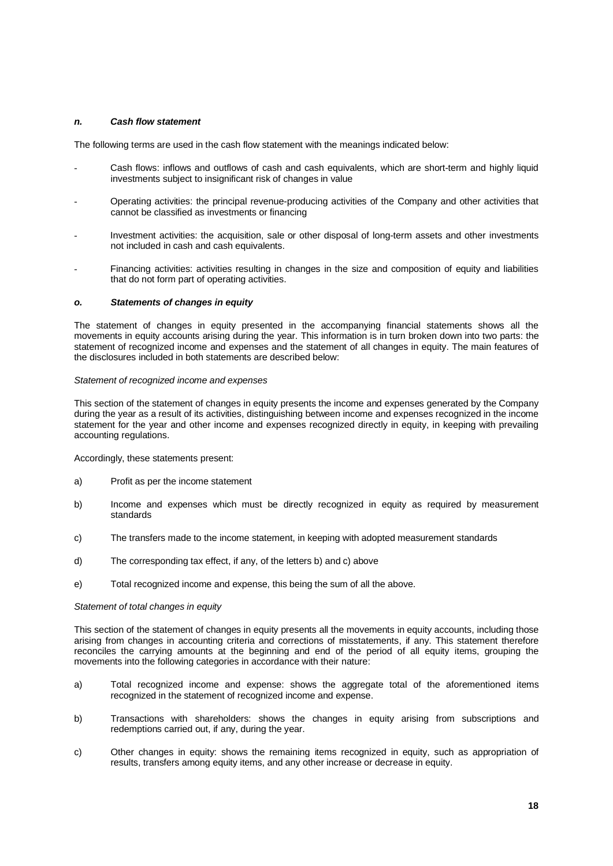## *n. Cash flow statement*

The following terms are used in the cash flow statement with the meanings indicated below:

- Cash flows: inflows and outflows of cash and cash equivalents, which are short-term and highly liquid investments subject to insignificant risk of changes in value
- Operating activities: the principal revenue-producing activities of the Company and other activities that cannot be classified as investments or financing
- Investment activities: the acquisition, sale or other disposal of long-term assets and other investments not included in cash and cash equivalents.
- Financing activities: activities resulting in changes in the size and composition of equity and liabilities that do not form part of operating activities.

## *o. Statements of changes in equity*

The statement of changes in equity presented in the accompanying financial statements shows all the movements in equity accounts arising during the year. This information is in turn broken down into two parts: the statement of recognized income and expenses and the statement of all changes in equity. The main features of the disclosures included in both statements are described below:

#### *Statement of recognized income and expenses*

This section of the statement of changes in equity presents the income and expenses generated by the Company during the year as a result of its activities, distinguishing between income and expenses recognized in the income statement for the year and other income and expenses recognized directly in equity, in keeping with prevailing accounting regulations.

Accordingly, these statements present:

- a) Profit as per the income statement
- b) Income and expenses which must be directly recognized in equity as required by measurement standards
- c) The transfers made to the income statement, in keeping with adopted measurement standards
- d) The corresponding tax effect, if any, of the letters b) and c) above
- e) Total recognized income and expense, this being the sum of all the above.

#### *Statement of total changes in equity*

This section of the statement of changes in equity presents all the movements in equity accounts, including those arising from changes in accounting criteria and corrections of misstatements, if any. This statement therefore reconciles the carrying amounts at the beginning and end of the period of all equity items, grouping the movements into the following categories in accordance with their nature:

- a) Total recognized income and expense: shows the aggregate total of the aforementioned items recognized in the statement of recognized income and expense.
- b) Transactions with shareholders: shows the changes in equity arising from subscriptions and redemptions carried out, if any, during the year.
- c) Other changes in equity: shows the remaining items recognized in equity, such as appropriation of results, transfers among equity items, and any other increase or decrease in equity.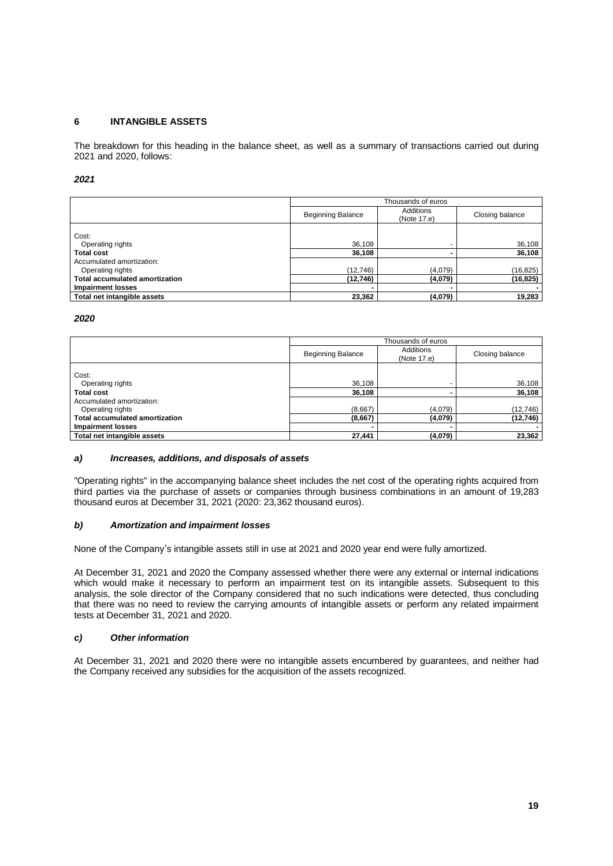## **6 INTANGIBLE ASSETS**

The breakdown for this heading in the balance sheet, as well as a summary of transactions carried out during 2021 and 2020, follows:

#### *2021*

|                                       | Thousands of euros       |                          |                 |  |  |
|---------------------------------------|--------------------------|--------------------------|-----------------|--|--|
|                                       | <b>Beginning Balance</b> | Additions<br>(Note 17.e) | Closing balance |  |  |
| Cost:                                 |                          |                          |                 |  |  |
| Operating rights                      | 36,108                   | -                        | 36,108          |  |  |
| <b>Total cost</b>                     | 36,108                   |                          | 36,108          |  |  |
| Accumulated amortization:             |                          |                          |                 |  |  |
| Operating rights                      | (12, 746)                | (4,079)                  | (16, 825)       |  |  |
| <b>Total accumulated amortization</b> | (12,746)                 | (4,079)                  | (16, 825)       |  |  |
| <b>Impairment losses</b>              |                          |                          |                 |  |  |
| Total net intangible assets           | 23,362                   | (4,079)                  | 19,283          |  |  |

#### *2020*

|                                       | Thousands of euros       |                          |                  |  |  |
|---------------------------------------|--------------------------|--------------------------|------------------|--|--|
|                                       | <b>Beginning Balance</b> | Additions<br>(Note 17.e) | Closing balance  |  |  |
| Cost:                                 |                          |                          |                  |  |  |
| Operating rights<br><b>Total cost</b> | 36,108<br>36,108         |                          | 36,108<br>36,108 |  |  |
| Accumulated amortization:             |                          |                          |                  |  |  |
| Operating rights                      | (8,667)                  | (4,079)                  | (12, 746)        |  |  |
| <b>Total accumulated amortization</b> | (8,667)                  | (4,079)                  | (12,746)         |  |  |
| <b>Impairment losses</b>              |                          |                          |                  |  |  |
| Total net intangible assets           | 27,441                   | (4,079)                  | 23,362           |  |  |

## *a) Increases, additions, and disposals of assets*

"Operating rights" in the accompanying balance sheet includes the net cost of the operating rights acquired from third parties via the purchase of assets or companies through business combinations in an amount of 19,283 thousand euros at December 31, 2021 (2020: 23,362 thousand euros).

#### *b) Amortization and impairment losses*

None of the Company's intangible assets still in use at 2021 and 2020 year end were fully amortized.

At December 31, 2021 and 2020 the Company assessed whether there were any external or internal indications which would make it necessary to perform an impairment test on its intangible assets. Subsequent to this analysis, the sole director of the Company considered that no such indications were detected, thus concluding that there was no need to review the carrying amounts of intangible assets or perform any related impairment tests at December 31, 2021 and 2020.

### *c) Other information*

At December 31, 2021 and 2020 there were no intangible assets encumbered by guarantees, and neither had the Company received any subsidies for the acquisition of the assets recognized.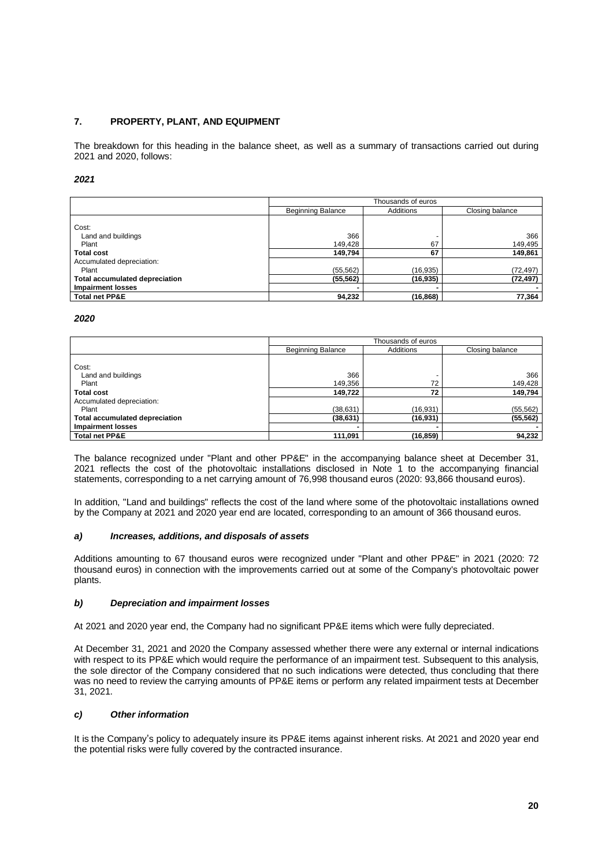## **7. PROPERTY, PLANT, AND EQUIPMENT**

The breakdown for this heading in the balance sheet, as well as a summary of transactions carried out during 2021 and 2020, follows:

#### *2021*

|                                       | Thousands of euros       |           |                 |  |  |  |
|---------------------------------------|--------------------------|-----------|-----------------|--|--|--|
|                                       | <b>Beginning Balance</b> | Additions | Closing balance |  |  |  |
| Cost:                                 |                          |           |                 |  |  |  |
| Land and buildings                    | 366                      |           | 366             |  |  |  |
| Plant                                 | 149.428                  | 67        | 149,495         |  |  |  |
| <b>Total cost</b>                     | 149.794                  | 67        | 149,861         |  |  |  |
| Accumulated depreciation:             |                          |           |                 |  |  |  |
| Plant                                 | (55, 562)                | (16,935)  | (72,497)        |  |  |  |
| <b>Total accumulated depreciation</b> | (55, 562)                | (16, 935) | (72, 497)       |  |  |  |
| <b>Impairment losses</b>              |                          |           |                 |  |  |  |
| <b>Total net PP&amp;E</b>             | 94,232                   | (16, 868) | 77,364          |  |  |  |

#### *2020*

|                                       | Thousands of euros       |                  |                 |  |  |  |
|---------------------------------------|--------------------------|------------------|-----------------|--|--|--|
|                                       | <b>Beginning Balance</b> | <b>Additions</b> | Closing balance |  |  |  |
| Cost:                                 |                          |                  |                 |  |  |  |
| Land and buildings                    | 366                      |                  | 366             |  |  |  |
| Plant                                 | 149,356                  | 72               | 149,428         |  |  |  |
| <b>Total cost</b>                     | 149,722                  | 72               | 149,794         |  |  |  |
| Accumulated depreciation:             |                          |                  |                 |  |  |  |
| Plant                                 | (38,631)                 | (16, 931)        | (55, 562)       |  |  |  |
| <b>Total accumulated depreciation</b> | (38, 631)                | (16, 931)        | (55, 562)       |  |  |  |
| <b>Impairment losses</b>              |                          |                  |                 |  |  |  |
| <b>Total net PP&amp;E</b>             | 111.091                  | (16, 859)        | 94,232          |  |  |  |

The balance recognized under "Plant and other PP&E" in the accompanying balance sheet at December 31, 2021 reflects the cost of the photovoltaic installations disclosed in Note 1 to the accompanying financial statements, corresponding to a net carrying amount of 76,998 thousand euros (2020: 93,866 thousand euros).

In addition, "Land and buildings" reflects the cost of the land where some of the photovoltaic installations owned by the Company at 2021 and 2020 year end are located, corresponding to an amount of 366 thousand euros.

## *a) Increases, additions, and disposals of assets*

Additions amounting to 67 thousand euros were recognized under "Plant and other PP&E" in 2021 (2020: 72 thousand euros) in connection with the improvements carried out at some of the Company's photovoltaic power plants.

#### *b) Depreciation and impairment losses*

At 2021 and 2020 year end, the Company had no significant PP&E items which were fully depreciated.

At December 31, 2021 and 2020 the Company assessed whether there were any external or internal indications with respect to its PP&E which would require the performance of an impairment test. Subsequent to this analysis, the sole director of the Company considered that no such indications were detected, thus concluding that there was no need to review the carrying amounts of PP&E items or perform any related impairment tests at December 31, 2021.

## *c) Other information*

It is the Company's policy to adequately insure its PP&E items against inherent risks. At 2021 and 2020 year end the potential risks were fully covered by the contracted insurance.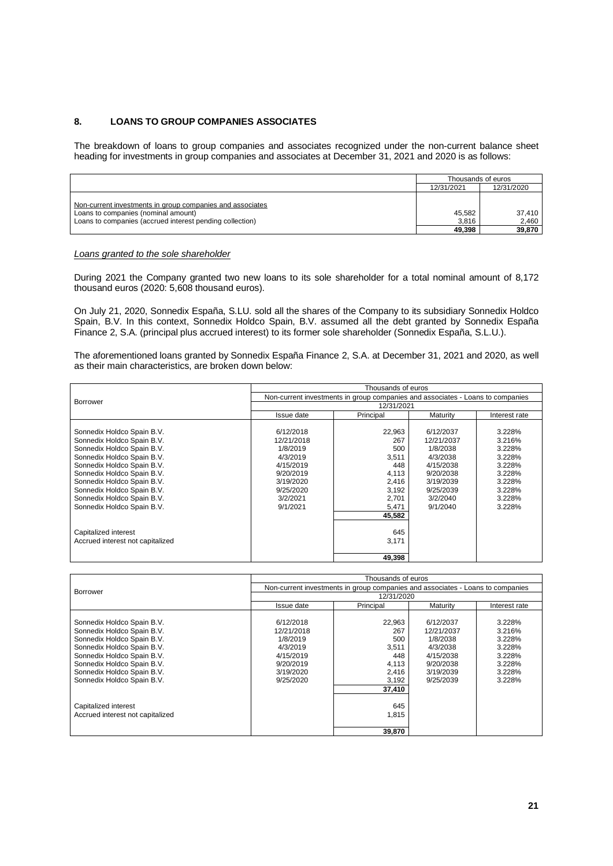## **8. LOANS TO GROUP COMPANIES ASSOCIATES**

The breakdown of loans to group companies and associates recognized under the non-current balance sheet heading for investments in group companies and associates at December 31, 2021 and 2020 is as follows:

|                                                                                                                                                              | Thousands of euros        |                           |  |
|--------------------------------------------------------------------------------------------------------------------------------------------------------------|---------------------------|---------------------------|--|
|                                                                                                                                                              | 12/31/2021                | 12/31/2020                |  |
| Non-current investments in group companies and associates<br>Loans to companies (nominal amount)<br>Loans to companies (accrued interest pending collection) | 45.582<br>3.816<br>49.398 | 37.410<br>2,460<br>39,870 |  |

## *Loans granted to the sole shareholder*

During 2021 the Company granted two new loans to its sole shareholder for a total nominal amount of 8,172 thousand euros (2020: 5,608 thousand euros).

On July 21, 2020, Sonnedix España, S.LU. sold all the shares of the Company to its subsidiary Sonnedix Holdco Spain, B.V. In this context, Sonnedix Holdco Spain, B.V. assumed all the debt granted by Sonnedix España Finance 2, S.A. (principal plus accrued interest) to its former sole shareholder (Sonnedix España, S.L.U.).

The aforementioned loans granted by Sonnedix España Finance 2, S.A. at December 31, 2021 and 2020, as well as their main characteristics, are broken down below:

|                                  | Thousands of euros                                                             |           |            |               |  |  |  |
|----------------------------------|--------------------------------------------------------------------------------|-----------|------------|---------------|--|--|--|
|                                  | Non-current investments in group companies and associates - Loans to companies |           |            |               |  |  |  |
| <b>Borrower</b>                  | 12/31/2021                                                                     |           |            |               |  |  |  |
|                                  | Issue date                                                                     | Principal | Maturity   | Interest rate |  |  |  |
|                                  |                                                                                |           |            |               |  |  |  |
| Sonnedix Holdco Spain B.V.       | 6/12/2018                                                                      | 22,963    | 6/12/2037  | 3.228%        |  |  |  |
| Sonnedix Holdco Spain B.V.       | 12/21/2018                                                                     | 267       | 12/21/2037 | 3.216%        |  |  |  |
| Sonnedix Holdco Spain B.V.       | 1/8/2019                                                                       | 500       | 1/8/2038   | 3.228%        |  |  |  |
| Sonnedix Holdco Spain B.V.       | 4/3/2019                                                                       | 3,511     | 4/3/2038   | 3.228%        |  |  |  |
| Sonnedix Holdco Spain B.V.       | 4/15/2019                                                                      | 448       | 4/15/2038  | 3.228%        |  |  |  |
| Sonnedix Holdco Spain B.V.       | 9/20/2019                                                                      | 4,113     | 9/20/2038  | 3.228%        |  |  |  |
| Sonnedix Holdco Spain B.V.       | 3/19/2020                                                                      | 2,416     | 3/19/2039  | 3.228%        |  |  |  |
| Sonnedix Holdco Spain B.V.       | 9/25/2020                                                                      | 3,192     | 9/25/2039  | 3.228%        |  |  |  |
| Sonnedix Holdco Spain B.V.       | 3/2/2021                                                                       | 2,701     | 3/2/2040   | 3.228%        |  |  |  |
| Sonnedix Holdco Spain B.V.       | 9/1/2021                                                                       | 5,471     | 9/1/2040   | 3.228%        |  |  |  |
|                                  |                                                                                | 45,582    |            |               |  |  |  |
|                                  |                                                                                |           |            |               |  |  |  |
| Capitalized interest             |                                                                                | 645       |            |               |  |  |  |
| Accrued interest not capitalized |                                                                                | 3,171     |            |               |  |  |  |
|                                  |                                                                                | 49,398    |            |               |  |  |  |
|                                  |                                                                                |           |            |               |  |  |  |

|                                  | Thousands of euros                                                             |            |            |               |  |  |  |
|----------------------------------|--------------------------------------------------------------------------------|------------|------------|---------------|--|--|--|
| Borrower                         | Non-current investments in group companies and associates - Loans to companies |            |            |               |  |  |  |
|                                  |                                                                                | 12/31/2020 |            |               |  |  |  |
|                                  | Issue date                                                                     | Principal  | Maturity   | Interest rate |  |  |  |
|                                  |                                                                                |            |            |               |  |  |  |
| Sonnedix Holdco Spain B.V.       | 6/12/2018                                                                      | 22,963     | 6/12/2037  | 3.228%        |  |  |  |
| Sonnedix Holdco Spain B.V.       | 12/21/2018                                                                     | 267        | 12/21/2037 | 3.216%        |  |  |  |
| Sonnedix Holdco Spain B.V.       | 1/8/2019                                                                       | 500        | 1/8/2038   | 3.228%        |  |  |  |
| Sonnedix Holdco Spain B.V.       | 4/3/2019                                                                       | 3.511      | 4/3/2038   | 3.228%        |  |  |  |
| Sonnedix Holdco Spain B.V.       | 4/15/2019                                                                      | 448        | 4/15/2038  | 3.228%        |  |  |  |
| Sonnedix Holdco Spain B.V.       | 9/20/2019                                                                      | 4,113      | 9/20/2038  | 3.228%        |  |  |  |
| Sonnedix Holdco Spain B.V.       | 3/19/2020                                                                      | 2.416      | 3/19/2039  | 3.228%        |  |  |  |
| Sonnedix Holdco Spain B.V.       | 9/25/2020                                                                      | 3,192      | 9/25/2039  | 3.228%        |  |  |  |
|                                  |                                                                                | 37,410     |            |               |  |  |  |
|                                  |                                                                                | 645        |            |               |  |  |  |
| Capitalized interest             |                                                                                |            |            |               |  |  |  |
| Accrued interest not capitalized |                                                                                | 1.815      |            |               |  |  |  |
|                                  |                                                                                | 39,870     |            |               |  |  |  |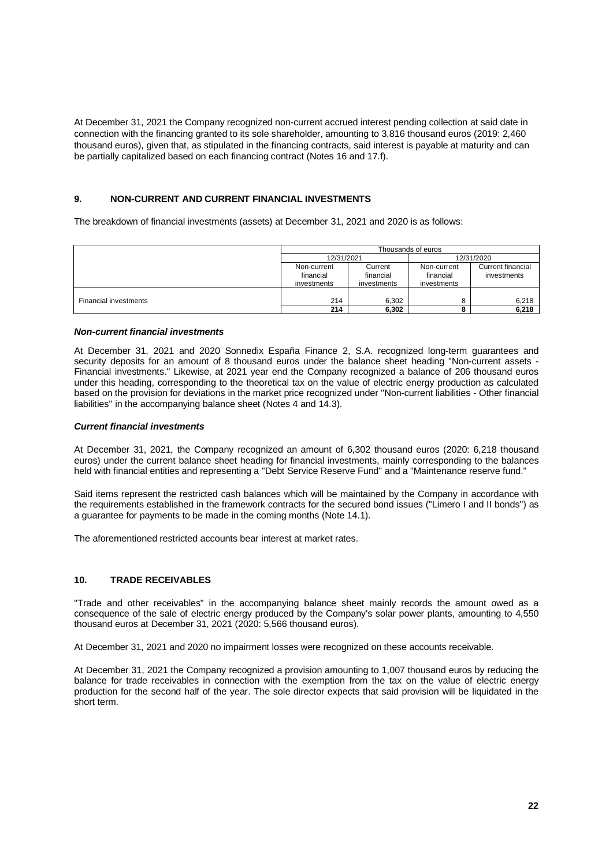At December 31, 2021 the Company recognized non-current accrued interest pending collection at said date in connection with the financing granted to its sole shareholder, amounting to 3,816 thousand euros (2019: 2,460 thousand euros), given that, as stipulated in the financing contracts, said interest is payable at maturity and can be partially capitalized based on each financing contract (Notes 16 and 17.f).

## **9. NON-CURRENT AND CURRENT FINANCIAL INVESTMENTS**

The breakdown of financial investments (assets) at December 31, 2021 and 2020 is as follows:

|                              | Thousands of euros                      |                                     |                                         |                                  |  |
|------------------------------|-----------------------------------------|-------------------------------------|-----------------------------------------|----------------------------------|--|
|                              | 12/31/2021                              |                                     |                                         | 12/31/2020                       |  |
|                              | Non-current<br>financial<br>investments | Current<br>financial<br>investments | Non-current<br>financial<br>investments | Current financial<br>investments |  |
| <b>Financial investments</b> | 214                                     | 6.302                               | 8                                       | 6,218                            |  |
|                              | 214                                     | 6,302                               | o                                       | 6,218                            |  |

#### *Non-current financial investments*

At December 31, 2021 and 2020 Sonnedix España Finance 2, S.A. recognized long-term guarantees and security deposits for an amount of 8 thousand euros under the balance sheet heading "Non-current assets - Financial investments." Likewise, at 2021 year end the Company recognized a balance of 206 thousand euros under this heading, corresponding to the theoretical tax on the value of electric energy production as calculated based on the provision for deviations in the market price recognized under "Non-current liabilities - Other financial liabilities" in the accompanying balance sheet (Notes 4 and 14.3).

#### *Current financial investments*

At December 31, 2021, the Company recognized an amount of 6,302 thousand euros (2020: 6,218 thousand euros) under the current balance sheet heading for financial investments, mainly corresponding to the balances held with financial entities and representing a "Debt Service Reserve Fund" and a "Maintenance reserve fund."

Said items represent the restricted cash balances which will be maintained by the Company in accordance with the requirements established in the framework contracts for the secured bond issues ("Limero I and II bonds") as a guarantee for payments to be made in the coming months (Note 14.1).

The aforementioned restricted accounts bear interest at market rates.

#### **10. TRADE RECEIVABLES**

"Trade and other receivables" in the accompanying balance sheet mainly records the amount owed as a consequence of the sale of electric energy produced by the Company's solar power plants, amounting to 4,550 thousand euros at December 31, 2021 (2020: 5,566 thousand euros).

At December 31, 2021 and 2020 no impairment losses were recognized on these accounts receivable.

At December 31, 2021 the Company recognized a provision amounting to 1,007 thousand euros by reducing the balance for trade receivables in connection with the exemption from the tax on the value of electric energy production for the second half of the year. The sole director expects that said provision will be liquidated in the short term.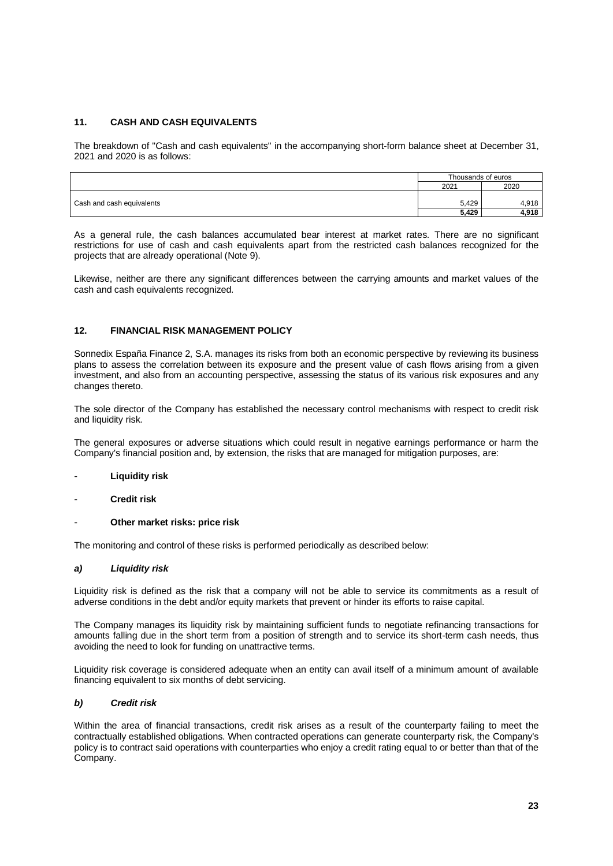## **11. CASH AND CASH EQUIVALENTS**

The breakdown of "Cash and cash equivalents" in the accompanying short-form balance sheet at December 31, 2021 and 2020 is as follows:

|                           | Thousands of euros |       |
|---------------------------|--------------------|-------|
|                           | 2021               | 2020  |
|                           |                    |       |
| Cash and cash equivalents | 5.429              | 4.918 |
|                           |                    | 4.918 |

As a general rule, the cash balances accumulated bear interest at market rates. There are no significant restrictions for use of cash and cash equivalents apart from the restricted cash balances recognized for the projects that are already operational (Note 9).

Likewise, neither are there any significant differences between the carrying amounts and market values of the cash and cash equivalents recognized.

## **12. FINANCIAL RISK MANAGEMENT POLICY**

Sonnedix España Finance 2, S.A. manages its risks from both an economic perspective by reviewing its business plans to assess the correlation between its exposure and the present value of cash flows arising from a given investment, and also from an accounting perspective, assessing the status of its various risk exposures and any changes thereto.

The sole director of the Company has established the necessary control mechanisms with respect to credit risk and liquidity risk.

The general exposures or adverse situations which could result in negative earnings performance or harm the Company's financial position and, by extension, the risks that are managed for mitigation purposes, are:

#### - **Liquidity risk**

- **Credit risk**
- **Other market risks: price risk**

The monitoring and control of these risks is performed periodically as described below:

#### *a) Liquidity risk*

Liquidity risk is defined as the risk that a company will not be able to service its commitments as a result of adverse conditions in the debt and/or equity markets that prevent or hinder its efforts to raise capital.

The Company manages its liquidity risk by maintaining sufficient funds to negotiate refinancing transactions for amounts falling due in the short term from a position of strength and to service its short-term cash needs, thus avoiding the need to look for funding on unattractive terms.

Liquidity risk coverage is considered adequate when an entity can avail itself of a minimum amount of available financing equivalent to six months of debt servicing.

## *b) Credit risk*

Within the area of financial transactions, credit risk arises as a result of the counterparty failing to meet the contractually established obligations. When contracted operations can generate counterparty risk, the Company's policy is to contract said operations with counterparties who enjoy a credit rating equal to or better than that of the Company.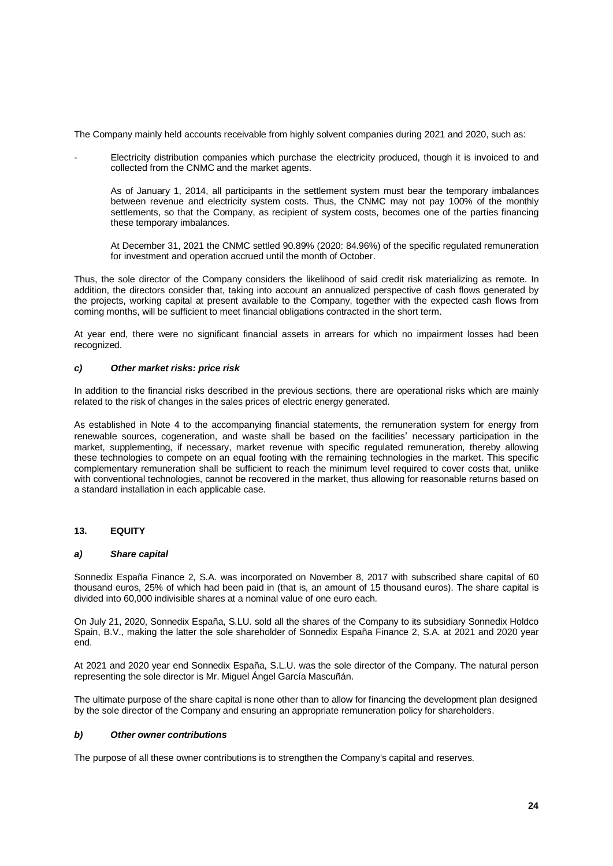The Company mainly held accounts receivable from highly solvent companies during 2021 and 2020, such as:

- Electricity distribution companies which purchase the electricity produced, though it is invoiced to and collected from the CNMC and the market agents.
	- As of January 1, 2014, all participants in the settlement system must bear the temporary imbalances between revenue and electricity system costs. Thus, the CNMC may not pay 100% of the monthly settlements, so that the Company, as recipient of system costs, becomes one of the parties financing these temporary imbalances.
	- At December 31, 2021 the CNMC settled 90.89% (2020: 84.96%) of the specific regulated remuneration for investment and operation accrued until the month of October.

Thus, the sole director of the Company considers the likelihood of said credit risk materializing as remote. In addition, the directors consider that, taking into account an annualized perspective of cash flows generated by the projects, working capital at present available to the Company, together with the expected cash flows from coming months, will be sufficient to meet financial obligations contracted in the short term.

At year end, there were no significant financial assets in arrears for which no impairment losses had been recognized.

## *c) Other market risks: price risk*

In addition to the financial risks described in the previous sections, there are operational risks which are mainly related to the risk of changes in the sales prices of electric energy generated.

As established in Note 4 to the accompanying financial statements, the remuneration system for energy from renewable sources, cogeneration, and waste shall be based on the facilities' necessary participation in the market, supplementing, if necessary, market revenue with specific regulated remuneration, thereby allowing these technologies to compete on an equal footing with the remaining technologies in the market. This specific complementary remuneration shall be sufficient to reach the minimum level required to cover costs that, unlike with conventional technologies, cannot be recovered in the market, thus allowing for reasonable returns based on a standard installation in each applicable case.

#### **13. EQUITY**

#### *a) Share capital*

Sonnedix España Finance 2, S.A. was incorporated on November 8, 2017 with subscribed share capital of 60 thousand euros, 25% of which had been paid in (that is, an amount of 15 thousand euros). The share capital is divided into 60,000 indivisible shares at a nominal value of one euro each.

On July 21, 2020, Sonnedix España, S.LU. sold all the shares of the Company to its subsidiary Sonnedix Holdco Spain, B.V., making the latter the sole shareholder of Sonnedix España Finance 2, S.A. at 2021 and 2020 year end.

At 2021 and 2020 year end Sonnedix España, S.L.U. was the sole director of the Company. The natural person representing the sole director is Mr. Miguel Ángel García Mascuñán.

The ultimate purpose of the share capital is none other than to allow for financing the development plan designed by the sole director of the Company and ensuring an appropriate remuneration policy for shareholders.

#### *b) Other owner contributions*

The purpose of all these owner contributions is to strengthen the Company's capital and reserves.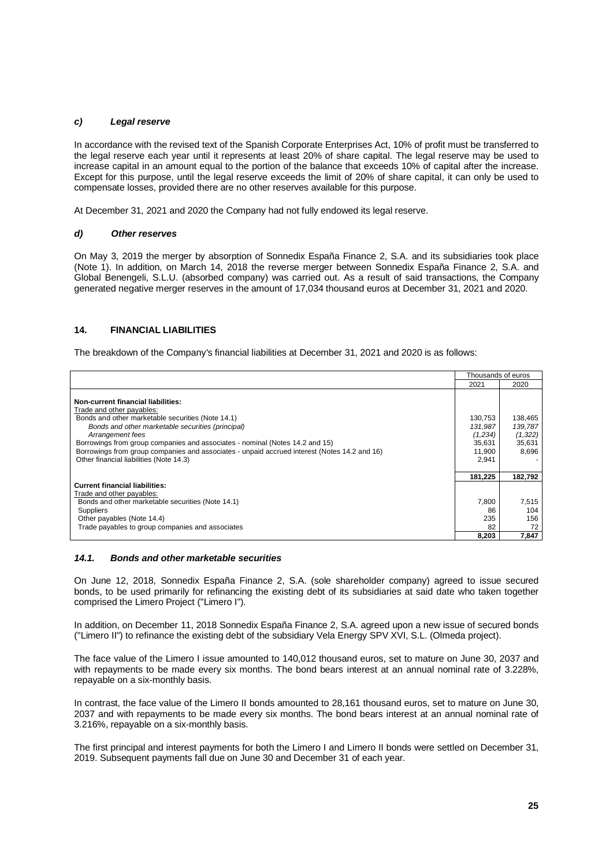## *c) Legal reserve*

In accordance with the revised text of the Spanish Corporate Enterprises Act, 10% of profit must be transferred to the legal reserve each year until it represents at least 20% of share capital. The legal reserve may be used to increase capital in an amount equal to the portion of the balance that exceeds 10% of capital after the increase. Except for this purpose, until the legal reserve exceeds the limit of 20% of share capital, it can only be used to compensate losses, provided there are no other reserves available for this purpose.

At December 31, 2021 and 2020 the Company had not fully endowed its legal reserve.

#### *d) Other reserves*

On May 3, 2019 the merger by absorption of Sonnedix España Finance 2, S.A. and its subsidiaries took place (Note 1). In addition, on March 14, 2018 the reverse merger between Sonnedix España Finance 2, S.A. and Global Benengeli, S.L.U. (absorbed company) was carried out. As a result of said transactions, the Company generated negative merger reserves in the amount of 17,034 thousand euros at December 31, 2021 and 2020.

## **14. FINANCIAL LIABILITIES**

The breakdown of the Company's financial liabilities at December 31, 2021 and 2020 is as follows:

|                                                                                                                                                                                                                                                                                                                                                                                                                          | Thousands of euros                                         |                                                   |
|--------------------------------------------------------------------------------------------------------------------------------------------------------------------------------------------------------------------------------------------------------------------------------------------------------------------------------------------------------------------------------------------------------------------------|------------------------------------------------------------|---------------------------------------------------|
|                                                                                                                                                                                                                                                                                                                                                                                                                          | 2021                                                       | 2020                                              |
| Non-current financial liabilities:<br>Trade and other payables:<br>Bonds and other marketable securities (Note 14.1)<br>Bonds and other marketable securities (principal)<br>Arrangement fees<br>Borrowings from group companies and associates - nominal (Notes 14.2 and 15)<br>Borrowings from group companies and associates - unpaid accrued interest (Notes 14.2 and 16)<br>Other financial liabilities (Note 14.3) | 130,753<br>131.987<br>(1,234)<br>35,631<br>11.900<br>2,941 | 138,465<br>139,787<br>(1, 322)<br>35,631<br>8,696 |
|                                                                                                                                                                                                                                                                                                                                                                                                                          | 181.225                                                    | 182.792                                           |
| <b>Current financial liabilities:</b>                                                                                                                                                                                                                                                                                                                                                                                    |                                                            |                                                   |
| Trade and other payables:                                                                                                                                                                                                                                                                                                                                                                                                |                                                            |                                                   |
| Bonds and other marketable securities (Note 14.1)                                                                                                                                                                                                                                                                                                                                                                        | 7,800                                                      | 7,515                                             |
| Suppliers                                                                                                                                                                                                                                                                                                                                                                                                                | 86                                                         | 104                                               |
| Other payables (Note 14.4)                                                                                                                                                                                                                                                                                                                                                                                               | 235                                                        | 156                                               |
| Trade payables to group companies and associates                                                                                                                                                                                                                                                                                                                                                                         | 82                                                         | 72                                                |
|                                                                                                                                                                                                                                                                                                                                                                                                                          | 8,203                                                      | 7,847                                             |

## *14.1. Bonds and other marketable securities*

On June 12, 2018, Sonnedix España Finance 2, S.A. (sole shareholder company) agreed to issue secured bonds, to be used primarily for refinancing the existing debt of its subsidiaries at said date who taken together comprised the Limero Project ("Limero I").

In addition, on December 11, 2018 Sonnedix España Finance 2, S.A. agreed upon a new issue of secured bonds ("Limero II") to refinance the existing debt of the subsidiary Vela Energy SPV XVI, S.L. (Olmeda project).

The face value of the Limero I issue amounted to 140,012 thousand euros, set to mature on June 30, 2037 and with repayments to be made every six months. The bond bears interest at an annual nominal rate of 3.228%, repayable on a six-monthly basis.

In contrast, the face value of the Limero II bonds amounted to 28,161 thousand euros, set to mature on June 30, 2037 and with repayments to be made every six months. The bond bears interest at an annual nominal rate of 3.216%, repayable on a six-monthly basis.

The first principal and interest payments for both the Limero I and Limero II bonds were settled on December 31, 2019. Subsequent payments fall due on June 30 and December 31 of each year.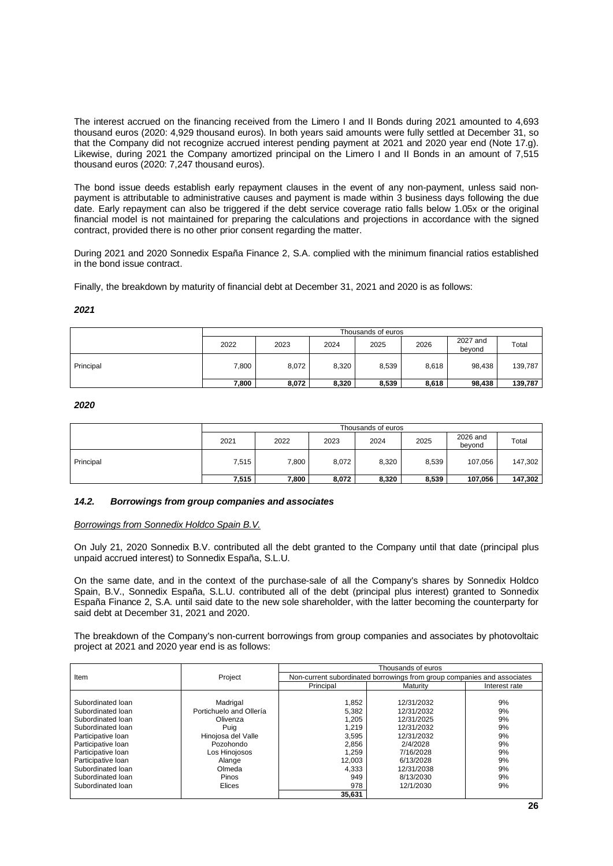The interest accrued on the financing received from the Limero I and II Bonds during 2021 amounted to 4,693 thousand euros (2020: 4,929 thousand euros). In both years said amounts were fully settled at December 31, so that the Company did not recognize accrued interest pending payment at 2021 and 2020 year end (Note 17.g). Likewise, during 2021 the Company amortized principal on the Limero I and II Bonds in an amount of 7,515 thousand euros (2020: 7,247 thousand euros).

The bond issue deeds establish early repayment clauses in the event of any non-payment, unless said nonpayment is attributable to administrative causes and payment is made within 3 business days following the due date. Early repayment can also be triggered if the debt service coverage ratio falls below 1.05x or the original financial model is not maintained for preparing the calculations and projections in accordance with the signed contract, provided there is no other prior consent regarding the matter.

During 2021 and 2020 Sonnedix España Finance 2, S.A. complied with the minimum financial ratios established in the bond issue contract.

Finally, the breakdown by maturity of financial debt at December 31, 2021 and 2020 is as follows:

#### *2021*

|           | Thousands of euros |       |       |       |       |                    |         |
|-----------|--------------------|-------|-------|-------|-------|--------------------|---------|
|           | 2022               | 2023  | 2024  | 2025  | 2026  | 2027 and<br>bevond | Total   |
| Principal | 7,800              | 8,072 | 8,320 | 8,539 | 8.618 | 98.438             | 139,787 |
|           | 7.800              | 8,072 | 8,320 | 8,539 | 8,618 | 98,438             | 139,787 |

## *2020*

|           | Thousands of euros |       |       |       |       |                    |         |
|-----------|--------------------|-------|-------|-------|-------|--------------------|---------|
|           | 2021               | 2022  | 2023  | 2024  | 2025  | 2026 and<br>bevond | Total   |
| Principal | 7,515              | 7,800 | 8,072 | 8,320 | 8,539 | 107,056            | 147,302 |
|           | 7,515              | ,800  | 8,072 | 8,320 | 8,539 | 107,056            | 147,302 |

#### *14.2. Borrowings from group companies and associates*

#### *Borrowings from Sonnedix Holdco Spain B.V.*

On July 21, 2020 Sonnedix B.V. contributed all the debt granted to the Company until that date (principal plus unpaid accrued interest) to Sonnedix España, S.L.U.

On the same date, and in the context of the purchase-sale of all the Company's shares by Sonnedix Holdco Spain, B.V., Sonnedix España, S.L.U. contributed all of the debt (principal plus interest) granted to Sonnedix España Finance 2, S.A. until said date to the new sole shareholder, with the latter becoming the counterparty for said debt at December 31, 2021 and 2020.

The breakdown of the Company's non-current borrowings from group companies and associates by photovoltaic project at 2021 and 2020 year end is as follows:

|                    |                                                                                    | Thousands of euros |            |               |  |  |
|--------------------|------------------------------------------------------------------------------------|--------------------|------------|---------------|--|--|
| Item               | Project<br>Non-current subordinated borrowings from group companies and associates |                    |            |               |  |  |
|                    |                                                                                    |                    | Maturity   | Interest rate |  |  |
|                    |                                                                                    |                    |            |               |  |  |
| Subordinated loan  | Madrigal                                                                           | 1,852              | 12/31/2032 | 9%            |  |  |
| Subordinated loan  | Portichuelo and Ollería                                                            | 5,382              | 12/31/2032 | 9%            |  |  |
| Subordinated loan  | Olivenza                                                                           | 1,205              | 12/31/2025 | 9%            |  |  |
| Subordinated loan  | Puig                                                                               | 1,219              | 12/31/2032 | 9%            |  |  |
| Participative Ioan | Hinojosa del Valle                                                                 | 3,595              | 12/31/2032 | 9%            |  |  |
| Participative Ioan | Pozohondo                                                                          | 2,856              | 2/4/2028   | 9%            |  |  |
| Participative Ioan | Los Hinojosos                                                                      | 1,259              | 7/16/2028  | 9%            |  |  |
| Participative loan | Alange                                                                             | 12,003             | 6/13/2028  | 9%            |  |  |
| Subordinated loan  | Olmeda                                                                             | 4,333              | 12/31/2038 | 9%            |  |  |
| Subordinated loan  | Pinos                                                                              | 949                | 8/13/2030  | 9%            |  |  |
| Subordinated loan  | Elices                                                                             | 978                | 12/1/2030  | 9%            |  |  |
|                    |                                                                                    | 35.631             |            |               |  |  |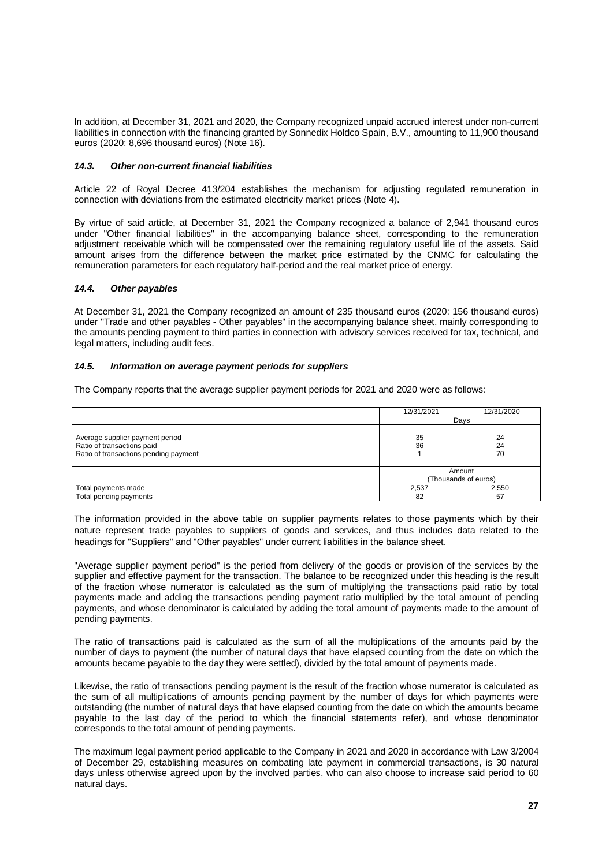In addition, at December 31, 2021 and 2020, the Company recognized unpaid accrued interest under non-current liabilities in connection with the financing granted by Sonnedix Holdco Spain, B.V., amounting to 11,900 thousand euros (2020: 8,696 thousand euros) (Note 16).

## *14.3. Other non-current financial liabilities*

Article 22 of Royal Decree 413/204 establishes the mechanism for adjusting regulated remuneration in connection with deviations from the estimated electricity market prices (Note 4).

By virtue of said article, at December 31, 2021 the Company recognized a balance of 2,941 thousand euros under "Other financial liabilities" in the accompanying balance sheet, corresponding to the remuneration adjustment receivable which will be compensated over the remaining regulatory useful life of the assets. Said amount arises from the difference between the market price estimated by the CNMC for calculating the remuneration parameters for each regulatory half-period and the real market price of energy.

## *14.4. Other payables*

At December 31, 2021 the Company recognized an amount of 235 thousand euros (2020: 156 thousand euros) under "Trade and other payables - Other payables" in the accompanying balance sheet, mainly corresponding to the amounts pending payment to third parties in connection with advisory services received for tax, technical, and legal matters, including audit fees.

## *14.5. Information on average payment periods for suppliers*

The Company reports that the average supplier payment periods for 2021 and 2020 were as follows:

|                                                                                                        | 12/31/2021 | 12/31/2020                     |  |  |
|--------------------------------------------------------------------------------------------------------|------------|--------------------------------|--|--|
|                                                                                                        | Davs       |                                |  |  |
| Average supplier payment period<br>Ratio of transactions paid<br>Ratio of transactions pending payment | 35<br>36   | 24<br>24<br>70                 |  |  |
|                                                                                                        |            | Amount<br>(Thousands of euros) |  |  |
| Total payments made                                                                                    | 2,537      | 2,550                          |  |  |
| Total pending payments                                                                                 | 82         | 57                             |  |  |

The information provided in the above table on supplier payments relates to those payments which by their nature represent trade payables to suppliers of goods and services, and thus includes data related to the headings for "Suppliers" and "Other payables" under current liabilities in the balance sheet.

"Average supplier payment period" is the period from delivery of the goods or provision of the services by the supplier and effective payment for the transaction. The balance to be recognized under this heading is the result of the fraction whose numerator is calculated as the sum of multiplying the transactions paid ratio by total payments made and adding the transactions pending payment ratio multiplied by the total amount of pending payments, and whose denominator is calculated by adding the total amount of payments made to the amount of pending payments.

The ratio of transactions paid is calculated as the sum of all the multiplications of the amounts paid by the number of days to payment (the number of natural days that have elapsed counting from the date on which the amounts became payable to the day they were settled), divided by the total amount of payments made.

Likewise, the ratio of transactions pending payment is the result of the fraction whose numerator is calculated as the sum of all multiplications of amounts pending payment by the number of days for which payments were outstanding (the number of natural days that have elapsed counting from the date on which the amounts became payable to the last day of the period to which the financial statements refer), and whose denominator corresponds to the total amount of pending payments.

The maximum legal payment period applicable to the Company in 2021 and 2020 in accordance with Law 3/2004 of December 29, establishing measures on combating late payment in commercial transactions, is 30 natural days unless otherwise agreed upon by the involved parties, who can also choose to increase said period to 60 natural days.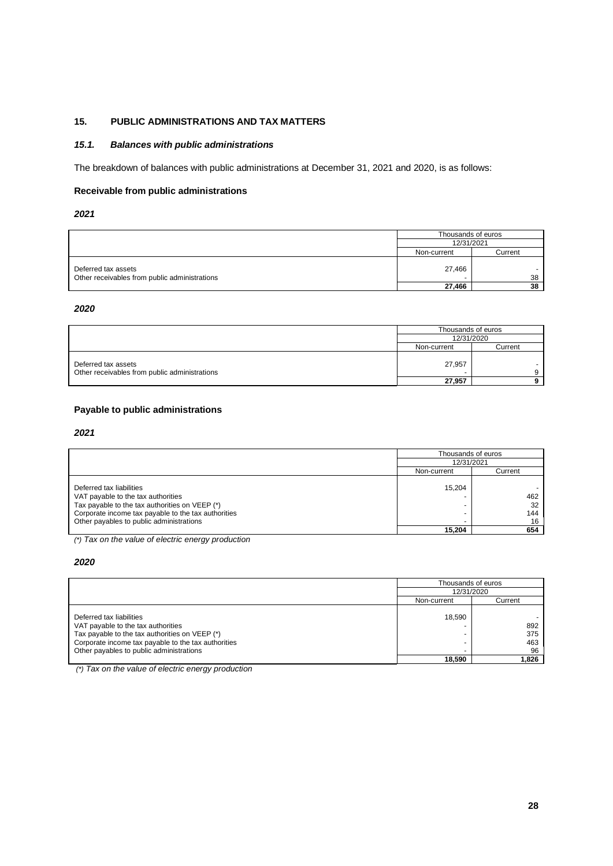# **15. PUBLIC ADMINISTRATIONS AND TAX MATTERS**

## *15.1. Balances with public administrations*

The breakdown of balances with public administrations at December 31, 2021 and 2020, is as follows:

## **Receivable from public administrations**

## *2021*

|                                                                      | Thousands of euros |              |  |
|----------------------------------------------------------------------|--------------------|--------------|--|
|                                                                      | 12/31/2021         |              |  |
|                                                                      | Non-current        | Current      |  |
| Deferred tax assets<br>Other receivables from public administrations | 27.466<br>-        | $\sim$<br>38 |  |
|                                                                      | 27,466             | 38           |  |

## *2020*

|                                                                      | Thousands of euros |         |
|----------------------------------------------------------------------|--------------------|---------|
|                                                                      | 12/31/2020         |         |
|                                                                      | Non-current        | Current |
| Deferred tax assets<br>Other receivables from public administrations | 27,957             |         |
|                                                                      | 27.957             |         |

## **Payable to public administrations**

#### *2021*

|                                                                                                                                                                                                                     | Thousands of euros |                        |  |
|---------------------------------------------------------------------------------------------------------------------------------------------------------------------------------------------------------------------|--------------------|------------------------|--|
|                                                                                                                                                                                                                     | 12/31/2021         |                        |  |
|                                                                                                                                                                                                                     | Non-current        | Current                |  |
| Deferred tax liabilities<br>VAT payable to the tax authorities<br>Tax payable to the tax authorities on VEEP (*)<br>Corporate income tax payable to the tax authorities<br>Other payables to public administrations | 15.204<br>-        | 462<br>32<br>144<br>16 |  |
|                                                                                                                                                                                                                     | 15.204             | 654                    |  |

*(\*) Tax on the value of electric energy production*

## *2020*

|                                                                                                                                                                                                                     | Thousands of euros                      |                         |  |
|---------------------------------------------------------------------------------------------------------------------------------------------------------------------------------------------------------------------|-----------------------------------------|-------------------------|--|
|                                                                                                                                                                                                                     | 12/31/2020                              |                         |  |
|                                                                                                                                                                                                                     | Non-current                             | Current                 |  |
| Deferred tax liabilities<br>VAT payable to the tax authorities<br>Tax payable to the tax authorities on VEEP (*)<br>Corporate income tax payable to the tax authorities<br>Other payables to public administrations | 18.590<br>$\overline{\phantom{0}}$<br>- | 892<br>375<br>463<br>96 |  |
|                                                                                                                                                                                                                     | 18.590                                  | 1.826                   |  |

*(\*) Tax on the value of electric energy production*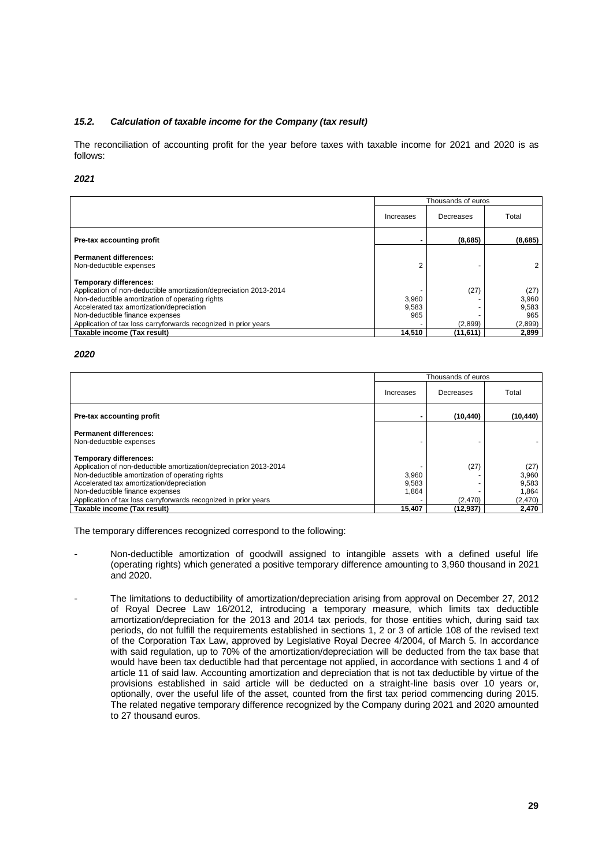## *15.2. Calculation of taxable income for the Company (tax result)*

The reconciliation of accounting profit for the year before taxes with taxable income for 2021 and 2020 is as follows:

## *2021*

|                                                                                                                                                                                                                                                                                                          | Thousands of euros<br>Total<br>Decreases<br>Increases |                 |                                          |  |
|----------------------------------------------------------------------------------------------------------------------------------------------------------------------------------------------------------------------------------------------------------------------------------------------------------|-------------------------------------------------------|-----------------|------------------------------------------|--|
|                                                                                                                                                                                                                                                                                                          |                                                       |                 |                                          |  |
| Pre-tax accounting profit                                                                                                                                                                                                                                                                                |                                                       | (8,685)         | (8,685)                                  |  |
| <b>Permanent differences:</b><br>Non-deductible expenses                                                                                                                                                                                                                                                 | 2                                                     |                 | 2                                        |  |
| <b>Temporary differences:</b><br>Application of non-deductible amortization/depreciation 2013-2014<br>Non-deductible amortization of operating rights<br>Accelerated tax amortization/depreciation<br>Non-deductible finance expenses<br>Application of tax loss carryforwards recognized in prior years | 3,960<br>9,583<br>965                                 | (27)<br>(2,899) | (27)<br>3,960<br>9,583<br>965<br>(2,899) |  |
| Taxable income (Tax result)                                                                                                                                                                                                                                                                              | 14,510                                                | (11,611)        | 2,899                                    |  |

#### *2020*

|                                                                                                                                                                                                                                                                                                                                         | Thousands of euros                |                             |                                                     |  |
|-----------------------------------------------------------------------------------------------------------------------------------------------------------------------------------------------------------------------------------------------------------------------------------------------------------------------------------------|-----------------------------------|-----------------------------|-----------------------------------------------------|--|
|                                                                                                                                                                                                                                                                                                                                         | Increases                         | Total                       |                                                     |  |
| Pre-tax accounting profit                                                                                                                                                                                                                                                                                                               |                                   | (10, 440)                   | (10, 440)                                           |  |
| <b>Permanent differences:</b><br>Non-deductible expenses                                                                                                                                                                                                                                                                                |                                   |                             |                                                     |  |
| <b>Temporary differences:</b><br>Application of non-deductible amortization/depreciation 2013-2014<br>Non-deductible amortization of operating rights<br>Accelerated tax amortization/depreciation<br>Non-deductible finance expenses<br>Application of tax loss carryforwards recognized in prior years<br>Taxable income (Tax result) | 3,960<br>9,583<br>1.864<br>15.407 | (27)<br>(2,470)<br>(12.937) | (27)<br>3,960<br>9,583<br>1.864<br>(2,470)<br>2,470 |  |

The temporary differences recognized correspond to the following:

- Non-deductible amortization of goodwill assigned to intangible assets with a defined useful life (operating rights) which generated a positive temporary difference amounting to 3,960 thousand in 2021 and 2020.
- The limitations to deductibility of amortization/depreciation arising from approval on December 27, 2012 of Royal Decree Law 16/2012, introducing a temporary measure, which limits tax deductible amortization/depreciation for the 2013 and 2014 tax periods, for those entities which, during said tax periods, do not fulfill the requirements established in sections 1, 2 or 3 of article 108 of the revised text of the Corporation Tax Law, approved by Legislative Royal Decree 4/2004, of March 5. In accordance with said regulation, up to 70% of the amortization/depreciation will be deducted from the tax base that would have been tax deductible had that percentage not applied, in accordance with sections 1 and 4 of article 11 of said law. Accounting amortization and depreciation that is not tax deductible by virtue of the provisions established in said article will be deducted on a straight-line basis over 10 years or, optionally, over the useful life of the asset, counted from the first tax period commencing during 2015. The related negative temporary difference recognized by the Company during 2021 and 2020 amounted to 27 thousand euros.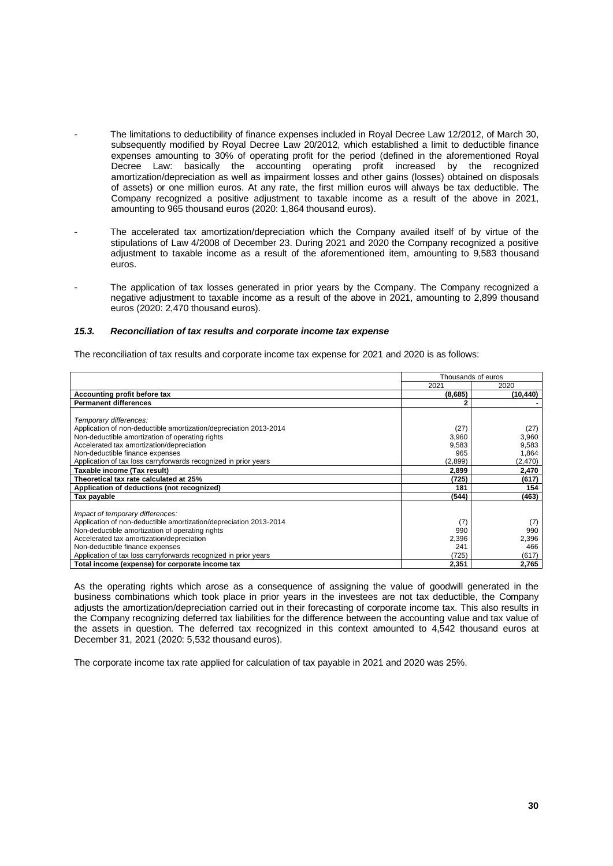- The limitations to deductibility of finance expenses included in Royal Decree Law 12/2012, of March 30, subsequently modified by Royal Decree Law 20/2012, which established a limit to deductible finance expenses amounting to 30% of operating profit for the period (defined in the aforementioned Royal Decree Law: basically the accounting operating profit increased by the recognized amortization/depreciation as well as impairment losses and other gains (losses) obtained on disposals of assets) or one million euros. At any rate, the first million euros will always be tax deductible. The Company recognized a positive adjustment to taxable income as a result of the above in 2021, amounting to 965 thousand euros (2020: 1,864 thousand euros).
- The accelerated tax amortization/depreciation which the Company availed itself of by virtue of the stipulations of Law 4/2008 of December 23. During 2021 and 2020 the Company recognized a positive adjustment to taxable income as a result of the aforementioned item, amounting to 9,583 thousand euros.
- The application of tax losses generated in prior years by the Company. The Company recognized a negative adjustment to taxable income as a result of the above in 2021, amounting to 2,899 thousand euros (2020: 2,470 thousand euros).

## *15.3. Reconciliation of tax results and corporate income tax expense*

The reconciliation of tax results and corporate income tax expense for 2021 and 2020 is as follows:

|                                                                   | Thousands of euros |           |
|-------------------------------------------------------------------|--------------------|-----------|
|                                                                   | 2021               | 2020      |
| Accounting profit before tax                                      | (8,685)            | (10, 440) |
| <b>Permanent differences</b>                                      | 2                  |           |
|                                                                   |                    |           |
| Temporary differences:                                            |                    |           |
| Application of non-deductible amortization/depreciation 2013-2014 | (27)               | (27)      |
| Non-deductible amortization of operating rights                   | 3,960              | 3,960     |
| Accelerated tax amortization/depreciation                         | 9,583              | 9,583     |
| Non-deductible finance expenses                                   | 965                | 1,864     |
| Application of tax loss carryforwards recognized in prior years   | (2,899)            | (2,470)   |
| Taxable income (Tax result)                                       | 2,899              | 2,470     |
| Theoretical tax rate calculated at 25%                            | (725)              | (617)     |
| Application of deductions (not recognized)                        | 181                | 154       |
| Tax payable                                                       | (544)              | (463)     |
|                                                                   |                    |           |
| Impact of temporary differences:                                  |                    |           |
| Application of non-deductible amortization/depreciation 2013-2014 | (7)                | (7)       |
| Non-deductible amortization of operating rights                   | 990                | 990       |
| Accelerated tax amortization/depreciation                         | 2,396              | 2,396     |
| Non-deductible finance expenses                                   | 241                | 466       |
| Application of tax loss carryforwards recognized in prior years   | (725)              | (617)     |
| Total income (expense) for corporate income tax                   | 2,351              | 2,765     |

As the operating rights which arose as a consequence of assigning the value of goodwill generated in the business combinations which took place in prior years in the investees are not tax deductible, the Company adjusts the amortization/depreciation carried out in their forecasting of corporate income tax. This also results in the Company recognizing deferred tax liabilities for the difference between the accounting value and tax value of the assets in question. The deferred tax recognized in this context amounted to 4,542 thousand euros at December 31, 2021 (2020: 5,532 thousand euros).

The corporate income tax rate applied for calculation of tax payable in 2021 and 2020 was 25%.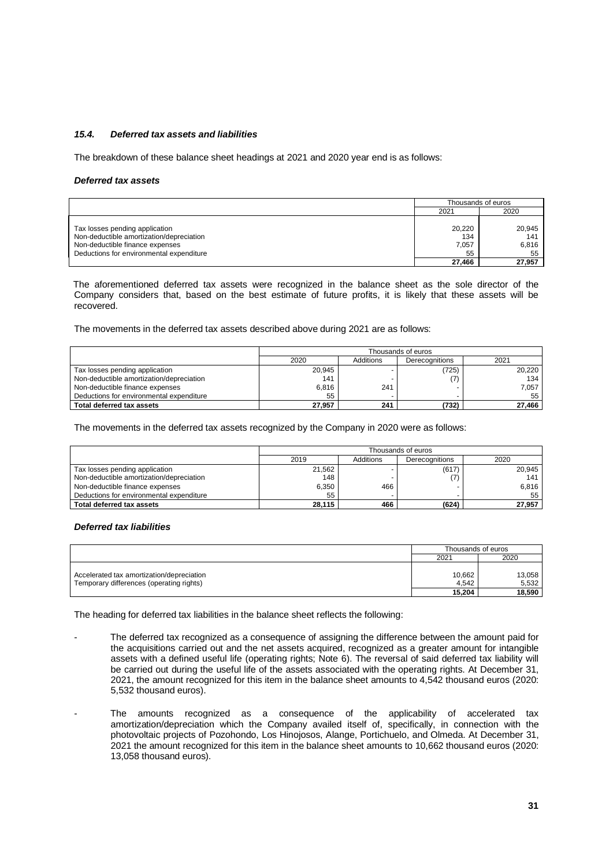## *15.4. Deferred tax assets and liabilities*

The breakdown of these balance sheet headings at 2021 and 2020 year end is as follows:

#### *Deferred tax assets*

|                                                                                                                                                           |                              | Thousands of euros           |
|-----------------------------------------------------------------------------------------------------------------------------------------------------------|------------------------------|------------------------------|
|                                                                                                                                                           | 2021                         | 2020                         |
| Tax losses pending application<br>Non-deductible amortization/depreciation<br>Non-deductible finance expenses<br>Deductions for environmental expenditure | 20,220<br>134<br>7,057<br>55 | 20.945<br>141<br>6.816<br>55 |
|                                                                                                                                                           | 27,466                       | 27,957                       |

The aforementioned deferred tax assets were recognized in the balance sheet as the sole director of the Company considers that, based on the best estimate of future profits, it is likely that these assets will be recovered.

The movements in the deferred tax assets described above during 2021 are as follows:

|                                          | Thousands of euros |           |                       |        |
|------------------------------------------|--------------------|-----------|-----------------------|--------|
|                                          | 2020               | Additions | <b>Derecognitions</b> | 2021   |
| Tax losses pending application           | 20,945             |           | (725)                 | 20,220 |
| Non-deductible amortization/depreciation | 141                |           |                       | 134    |
| Non-deductible finance expenses          | 6,816              | 241       |                       | 7.057  |
| Deductions for environmental expenditure | 55                 |           |                       | 55     |
| Total deferred tax assets                | 27,957             | 241       | (732)                 | 27.466 |

The movements in the deferred tax assets recognized by the Company in 2020 were as follows:

|                                          | Thousands of euros |           |                |        |
|------------------------------------------|--------------------|-----------|----------------|--------|
|                                          | 2019               | Additions | Derecognitions | 2020   |
| Tax losses pending application           | 21,562             |           | (617)          | 20,945 |
| Non-deductible amortization/depreciation | 148                |           |                | 141    |
| Non-deductible finance expenses          | 6,350              | 466       |                | 6.816  |
| Deductions for environmental expenditure | 55                 |           |                | 55     |
| Total deferred tax assets                | 28.115             | 466       | (624)          | 27.957 |

#### *Deferred tax liabilities*

|                                           | Thousands of euros |        |
|-------------------------------------------|--------------------|--------|
|                                           | 2021               | 2020   |
|                                           |                    |        |
| Accelerated tax amortization/depreciation | 10.662             | 13,058 |
| Temporary differences (operating rights)  | 4.542              | 5,532  |
|                                           | 15.204             | 18.590 |

The heading for deferred tax liabilities in the balance sheet reflects the following:

- The deferred tax recognized as a consequence of assigning the difference between the amount paid for the acquisitions carried out and the net assets acquired, recognized as a greater amount for intangible assets with a defined useful life (operating rights; Note 6). The reversal of said deferred tax liability will be carried out during the useful life of the assets associated with the operating rights. At December 31, 2021, the amount recognized for this item in the balance sheet amounts to 4,542 thousand euros (2020: 5,532 thousand euros).
- The amounts recognized as a consequence of the applicability of accelerated tax amortization/depreciation which the Company availed itself of, specifically, in connection with the photovoltaic projects of Pozohondo, Los Hinojosos, Alange, Portichuelo, and Olmeda. At December 31, 2021 the amount recognized for this item in the balance sheet amounts to 10,662 thousand euros (2020: 13,058 thousand euros).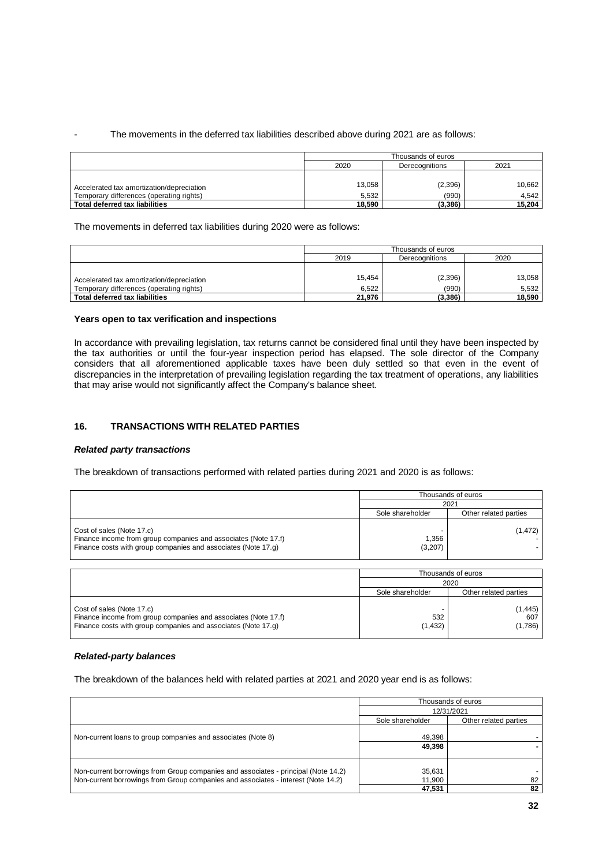## The movements in the deferred tax liabilities described above during 2021 are as follows:

|                                           | Thousands of euros             |         |        |  |
|-------------------------------------------|--------------------------------|---------|--------|--|
|                                           | 2020<br>2021<br>Derecognitions |         |        |  |
|                                           |                                |         |        |  |
| Accelerated tax amortization/depreciation | 13,058                         | (2,396) | 10,662 |  |
| Temporary differences (operating rights)  | 5.532                          | (990)   | 4.542  |  |
| Total deferred tax liabilities            | 18,590                         | (3,386) | 15,204 |  |

The movements in deferred tax liabilities during 2020 were as follows:

|                                           | Thousands of euros |         |        |  |
|-------------------------------------------|--------------------|---------|--------|--|
|                                           | 2019               | 2020    |        |  |
|                                           |                    |         |        |  |
| Accelerated tax amortization/depreciation | 15,454             | (2,396) | 13,058 |  |
| Temporary differences (operating rights)  | 6.522              | (990)   | 5.532  |  |
| Total deferred tax liabilities            | 21,976             | (3,386) | 18.590 |  |

#### **Years open to tax verification and inspections**

In accordance with prevailing legislation, tax returns cannot be considered final until they have been inspected by the tax authorities or until the four-year inspection period has elapsed. The sole director of the Company considers that all aforementioned applicable taxes have been duly settled so that even in the event of discrepancies in the interpretation of prevailing legislation regarding the tax treatment of operations, any liabilities that may arise would not significantly affect the Company's balance sheet.

## **16. TRANSACTIONS WITH RELATED PARTIES**

#### *Related party transactions*

The breakdown of transactions performed with related parties during 2021 and 2020 is as follows:

|                                                                                                                                                              |                  | Thousands of euros    |
|--------------------------------------------------------------------------------------------------------------------------------------------------------------|------------------|-----------------------|
|                                                                                                                                                              | 2021             |                       |
|                                                                                                                                                              | Sole shareholder | Other related parties |
| Cost of sales (Note 17.c)<br>Finance income from group companies and associates (Note 17.f)<br>Finance costs with group companies and associates (Note 17.q) | 1.356<br>(3,207) | (1, 472)              |

|                                                                                                                                                              | Thousands of euros |                            |
|--------------------------------------------------------------------------------------------------------------------------------------------------------------|--------------------|----------------------------|
|                                                                                                                                                              | 2020               |                            |
|                                                                                                                                                              | Sole shareholder   | Other related parties      |
| Cost of sales (Note 17.c)<br>Finance income from group companies and associates (Note 17.f)<br>Finance costs with group companies and associates (Note 17.q) | 532<br>(1, 432)    | (1, 445)<br>607<br>(1,786) |

## *Related-party balances*

The breakdown of the balances held with related parties at 2021 and 2020 year end is as follows:

|                                                                                                                                                                         | Thousands of euros<br>12/31/2021 |                       |
|-------------------------------------------------------------------------------------------------------------------------------------------------------------------------|----------------------------------|-----------------------|
|                                                                                                                                                                         |                                  |                       |
|                                                                                                                                                                         | Sole shareholder                 | Other related parties |
| Non-current loans to group companies and associates (Note 8)                                                                                                            | 49,398                           |                       |
|                                                                                                                                                                         | 49.398                           |                       |
| Non-current borrowings from Group companies and associates - principal (Note 14.2)<br>Non-current borrowings from Group companies and associates - interest (Note 14.2) | 35,631<br>11.900                 | 82                    |
|                                                                                                                                                                         | 47.531                           | 82                    |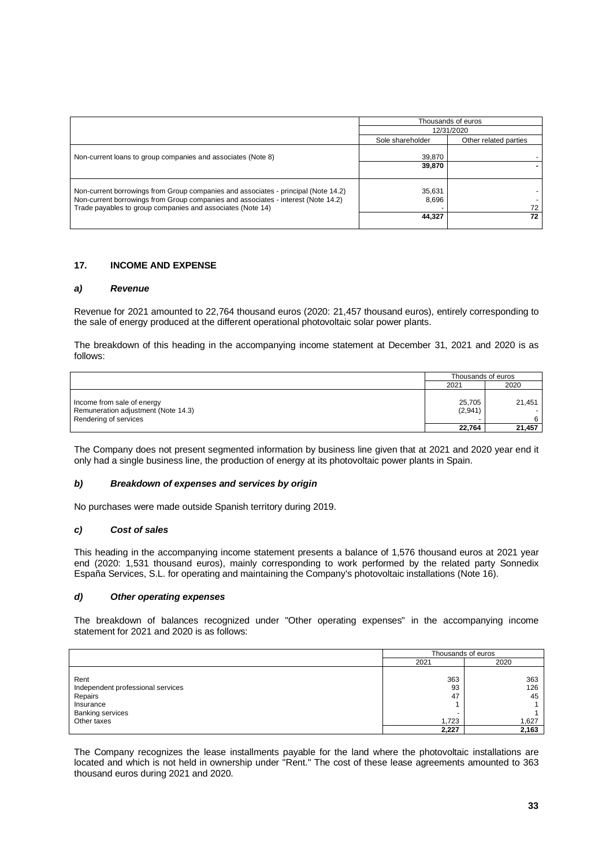|                                                                                                                                                                                                                                       | Thousands of euros |                       |
|---------------------------------------------------------------------------------------------------------------------------------------------------------------------------------------------------------------------------------------|--------------------|-----------------------|
|                                                                                                                                                                                                                                       | 12/31/2020         |                       |
|                                                                                                                                                                                                                                       | Sole shareholder   | Other related parties |
| Non-current loans to group companies and associates (Note 8)                                                                                                                                                                          | 39,870             |                       |
|                                                                                                                                                                                                                                       | 39,870             |                       |
| Non-current borrowings from Group companies and associates - principal (Note 14.2)<br>Non-current borrowings from Group companies and associates - interest (Note 14.2)<br>Trade payables to group companies and associates (Note 14) | 35,631<br>8,696    | 72                    |
|                                                                                                                                                                                                                                       | 44,327             | 72                    |

## **17. INCOME AND EXPENSE**

#### *a) Revenue*

Revenue for 2021 amounted to 22,764 thousand euros (2020: 21,457 thousand euros), entirely corresponding to the sale of energy produced at the different operational photovoltaic solar power plants.

The breakdown of this heading in the accompanying income statement at December 31, 2021 and 2020 is as follows:

|                                                                                            | Thousands of euros |             |
|--------------------------------------------------------------------------------------------|--------------------|-------------|
|                                                                                            | 2021               | 2020        |
| Income from sale of energy<br>Remuneration adjustment (Note 14.3)<br>Rendering of services | 25,705<br>(2,941)  | 21.451<br>6 |
|                                                                                            | 22.764             | 21.457      |

The Company does not present segmented information by business line given that at 2021 and 2020 year end it only had a single business line, the production of energy at its photovoltaic power plants in Spain.

#### *b) Breakdown of expenses and services by origin*

No purchases were made outside Spanish territory during 2019.

## *c) Cost of sales*

This heading in the accompanying income statement presents a balance of 1,576 thousand euros at 2021 year end (2020: 1,531 thousand euros), mainly corresponding to work performed by the related party Sonnedix España Services, S.L. for operating and maintaining the Company's photovoltaic installations (Note 16).

#### *d) Other operating expenses*

The breakdown of balances recognized under "Other operating expenses" in the accompanying income statement for 2021 and 2020 is as follows:

|                                                                                                             |                          | Thousands of euros        |  |
|-------------------------------------------------------------------------------------------------------------|--------------------------|---------------------------|--|
|                                                                                                             | 2021                     | 2020                      |  |
| Rent<br>Independent professional services<br>Repairs<br>Insurance<br><b>Banking services</b><br>Other taxes | 363<br>93<br>47<br>1,723 | 363<br>126<br>45<br>1,627 |  |
|                                                                                                             | 2,227                    | 2,163                     |  |

The Company recognizes the lease installments payable for the land where the photovoltaic installations are located and which is not held in ownership under "Rent." The cost of these lease agreements amounted to 363 thousand euros during 2021 and 2020.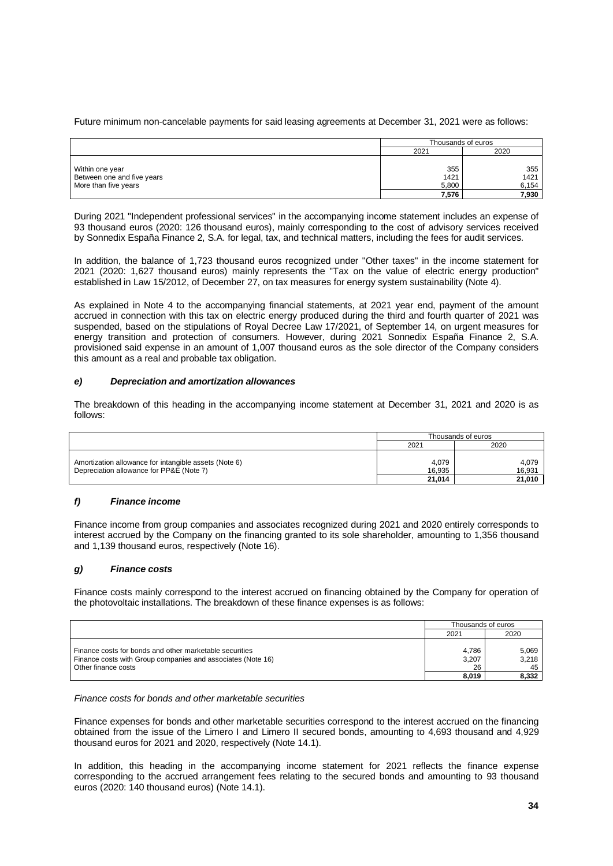Future minimum non-cancelable payments for said leasing agreements at December 31, 2021 were as follows:

|                                                                       | Thousands of euros            |                               |  |
|-----------------------------------------------------------------------|-------------------------------|-------------------------------|--|
|                                                                       | 2021                          | 2020                          |  |
| Within one year<br>Between one and five years<br>More than five years | 355<br>1421<br>5,800<br>7,576 | 355<br>1421<br>6,154<br>7,930 |  |

During 2021 "Independent professional services" in the accompanying income statement includes an expense of 93 thousand euros (2020: 126 thousand euros), mainly corresponding to the cost of advisory services received by Sonnedix España Finance 2, S.A. for legal, tax, and technical matters, including the fees for audit services.

In addition, the balance of 1,723 thousand euros recognized under "Other taxes" in the income statement for 2021 (2020: 1,627 thousand euros) mainly represents the "Tax on the value of electric energy production" established in Law 15/2012, of December 27, on tax measures for energy system sustainability (Note 4).

As explained in Note 4 to the accompanying financial statements, at 2021 year end, payment of the amount accrued in connection with this tax on electric energy produced during the third and fourth quarter of 2021 was suspended, based on the stipulations of Royal Decree Law 17/2021, of September 14, on urgent measures for energy transition and protection of consumers. However, during 2021 Sonnedix España Finance 2, S.A. provisioned said expense in an amount of 1,007 thousand euros as the sole director of the Company considers this amount as a real and probable tax obligation.

## *e) Depreciation and amortization allowances*

The breakdown of this heading in the accompanying income statement at December 31, 2021 and 2020 is as follows:

|                                                                                                   | Thousands of euros |                 |  |
|---------------------------------------------------------------------------------------------------|--------------------|-----------------|--|
|                                                                                                   | 2021               | 2020            |  |
| Amortization allowance for intangible assets (Note 6)<br>Depreciation allowance for PP&E (Note 7) | 4,079<br>16.935    | 4.079<br>16.931 |  |
|                                                                                                   | 21,014             | 21.010          |  |

## *f) Finance income*

Finance income from group companies and associates recognized during 2021 and 2020 entirely corresponds to interest accrued by the Company on the financing granted to its sole shareholder, amounting to 1,356 thousand and 1,139 thousand euros, respectively (Note 16).

## *g) Finance costs*

Finance costs mainly correspond to the interest accrued on financing obtained by the Company for operation of the photovoltaic installations. The breakdown of these finance expenses is as follows:

|                                                                                                                                               | Thousands of euros   |                      |
|-----------------------------------------------------------------------------------------------------------------------------------------------|----------------------|----------------------|
|                                                                                                                                               | 2021                 | 2020                 |
| Finance costs for bonds and other marketable securities<br>Finance costs with Group companies and associates (Note 16)<br>Other finance costs | 4.786<br>3,207<br>26 | 5,069<br>3,218<br>45 |
|                                                                                                                                               | 8,019                | 8,332                |

*Finance costs for bonds and other marketable securities*

Finance expenses for bonds and other marketable securities correspond to the interest accrued on the financing obtained from the issue of the Limero I and Limero II secured bonds, amounting to 4,693 thousand and 4,929 thousand euros for 2021 and 2020, respectively (Note 14.1).

In addition, this heading in the accompanying income statement for 2021 reflects the finance expense corresponding to the accrued arrangement fees relating to the secured bonds and amounting to 93 thousand euros (2020: 140 thousand euros) (Note 14.1).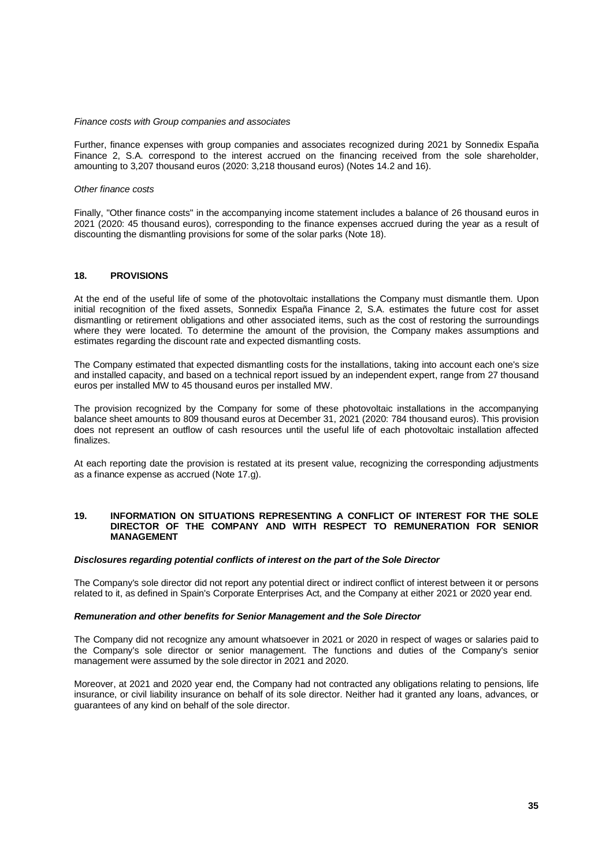#### *Finance costs with Group companies and associates*

Further, finance expenses with group companies and associates recognized during 2021 by Sonnedix España Finance 2, S.A. correspond to the interest accrued on the financing received from the sole shareholder, amounting to 3,207 thousand euros (2020: 3,218 thousand euros) (Notes 14.2 and 16).

#### *Other finance costs*

Finally, "Other finance costs" in the accompanying income statement includes a balance of 26 thousand euros in 2021 (2020: 45 thousand euros), corresponding to the finance expenses accrued during the year as a result of discounting the dismantling provisions for some of the solar parks (Note 18).

## **18. PROVISIONS**

At the end of the useful life of some of the photovoltaic installations the Company must dismantle them. Upon initial recognition of the fixed assets, Sonnedix España Finance 2, S.A. estimates the future cost for asset dismantling or retirement obligations and other associated items, such as the cost of restoring the surroundings where they were located. To determine the amount of the provision, the Company makes assumptions and estimates regarding the discount rate and expected dismantling costs.

The Company estimated that expected dismantling costs for the installations, taking into account each one's size and installed capacity, and based on a technical report issued by an independent expert, range from 27 thousand euros per installed MW to 45 thousand euros per installed MW.

The provision recognized by the Company for some of these photovoltaic installations in the accompanying balance sheet amounts to 809 thousand euros at December 31, 2021 (2020: 784 thousand euros). This provision does not represent an outflow of cash resources until the useful life of each photovoltaic installation affected finalizes.

At each reporting date the provision is restated at its present value, recognizing the corresponding adjustments as a finance expense as accrued (Note 17.g).

#### **19. INFORMATION ON SITUATIONS REPRESENTING A CONFLICT OF INTEREST FOR THE SOLE DIRECTOR OF THE COMPANY AND WITH RESPECT TO REMUNERATION FOR SENIOR MANAGEMENT**

#### *Disclosures regarding potential conflicts of interest on the part of the Sole Director*

The Company's sole director did not report any potential direct or indirect conflict of interest between it or persons related to it, as defined in Spain's Corporate Enterprises Act, and the Company at either 2021 or 2020 year end.

#### *Remuneration and other benefits for Senior Management and the Sole Director*

The Company did not recognize any amount whatsoever in 2021 or 2020 in respect of wages or salaries paid to the Company's sole director or senior management. The functions and duties of the Company's senior management were assumed by the sole director in 2021 and 2020.

Moreover, at 2021 and 2020 year end, the Company had not contracted any obligations relating to pensions, life insurance, or civil liability insurance on behalf of its sole director. Neither had it granted any loans, advances, or guarantees of any kind on behalf of the sole director.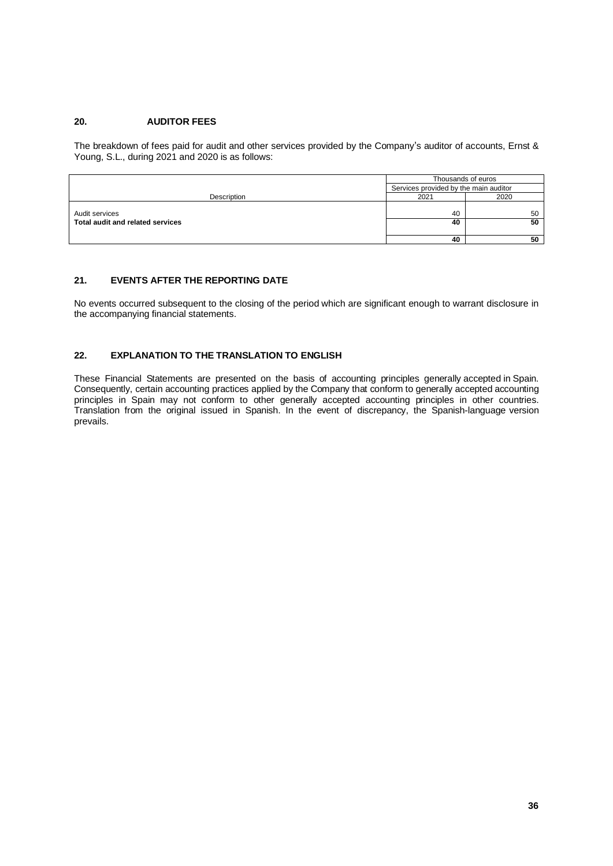## **20. AUDITOR FEES**

The breakdown of fees paid for audit and other services provided by the Company's auditor of accounts, Ernst & Young, S.L., during 2021 and 2020 is as follows:

|                                  | Thousands of euros                    |      |
|----------------------------------|---------------------------------------|------|
|                                  | Services provided by the main auditor |      |
| Description                      | 2021                                  | 2020 |
|                                  |                                       |      |
| Audit services                   | 40                                    | 50   |
| Total audit and related services | 40                                    | 50   |
|                                  |                                       |      |
|                                  | 40                                    | 50   |

## **21. EVENTS AFTER THE REPORTING DATE**

No events occurred subsequent to the closing of the period which are significant enough to warrant disclosure in the accompanying financial statements.

## **22. EXPLANATION TO THE TRANSLATION TO ENGLISH**

These Financial Statements are presented on the basis of accounting principles generally accepted in Spain. Consequently, certain accounting practices applied by the Company that conform to generally accepted accounting principles in Spain may not conform to other generally accepted accounting principles in other countries. Translation from the original issued in Spanish. In the event of discrepancy, the Spanish-language version prevails.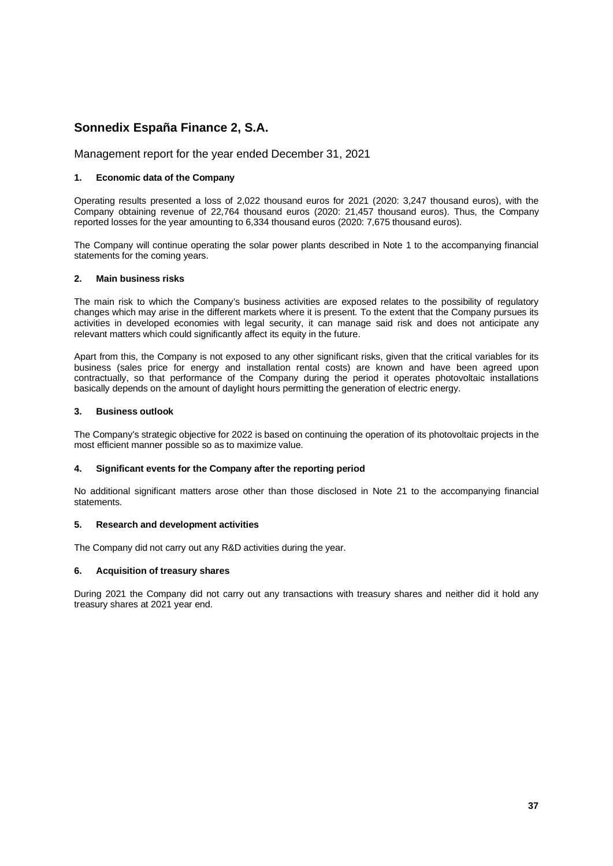# **Sonnedix España Finance 2, S.A.**

Management report for the year ended December 31, 2021

## **1. Economic data of the Company**

Operating results presented a loss of 2,022 thousand euros for 2021 (2020: 3,247 thousand euros), with the Company obtaining revenue of 22,764 thousand euros (2020: 21,457 thousand euros). Thus, the Company reported losses for the year amounting to 6,334 thousand euros (2020: 7,675 thousand euros).

The Company will continue operating the solar power plants described in Note 1 to the accompanying financial statements for the coming years.

## **2. Main business risks**

The main risk to which the Company's business activities are exposed relates to the possibility of regulatory changes which may arise in the different markets where it is present. To the extent that the Company pursues its activities in developed economies with legal security, it can manage said risk and does not anticipate any relevant matters which could significantly affect its equity in the future.

Apart from this, the Company is not exposed to any other significant risks, given that the critical variables for its business (sales price for energy and installation rental costs) are known and have been agreed upon contractually, so that performance of the Company during the period it operates photovoltaic installations basically depends on the amount of daylight hours permitting the generation of electric energy.

## **3. Business outlook**

The Company's strategic objective for 2022 is based on continuing the operation of its photovoltaic projects in the most efficient manner possible so as to maximize value.

## **4. Significant events for the Company after the reporting period**

No additional significant matters arose other than those disclosed in Note 21 to the accompanying financial statements.

#### **5. Research and development activities**

The Company did not carry out any R&D activities during the year.

## **6. Acquisition of treasury shares**

During 2021 the Company did not carry out any transactions with treasury shares and neither did it hold any treasury shares at 2021 year end.